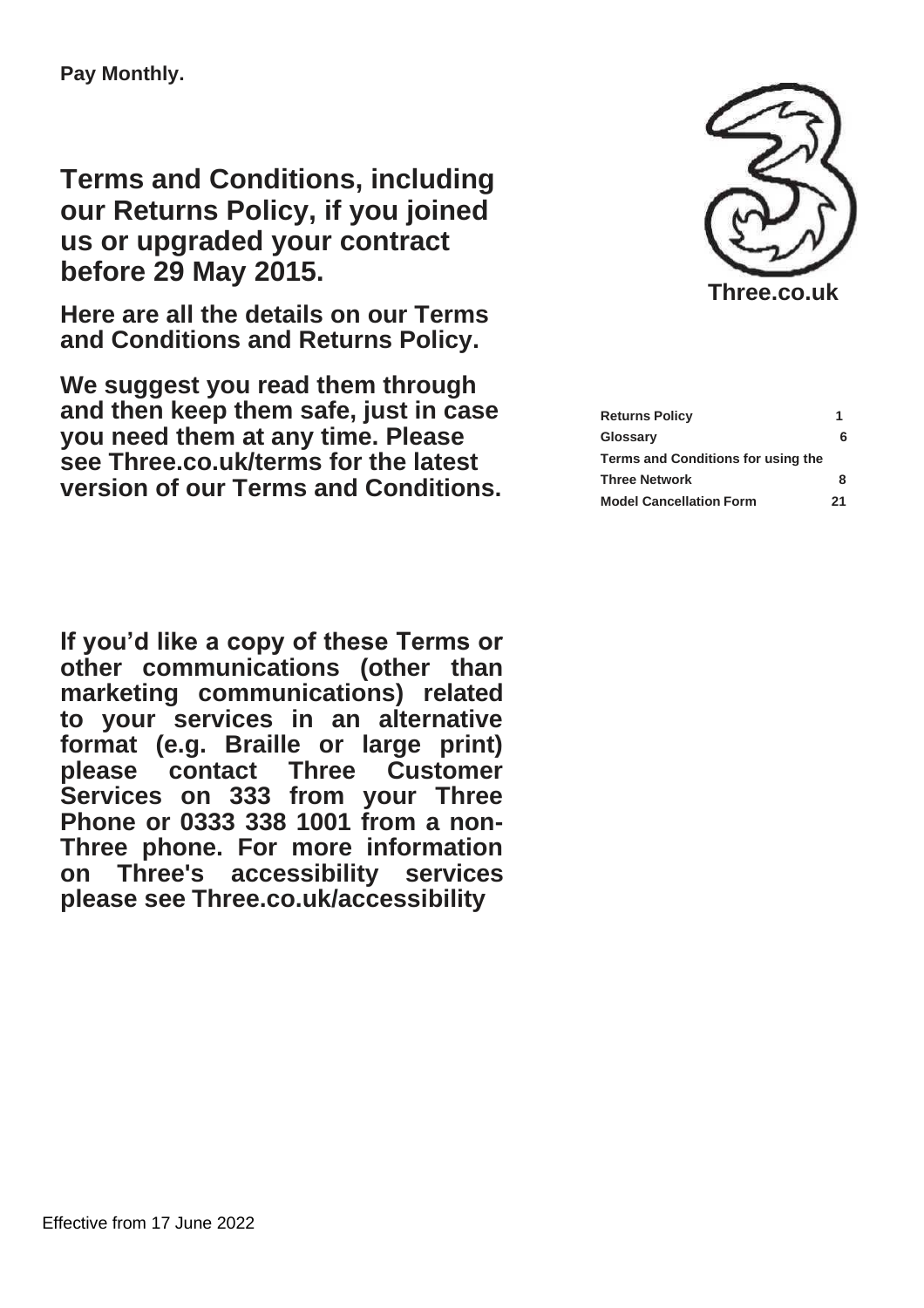**Terms and Conditions, including our Returns Policy, if you joined us or upgraded your contract before 29 May 2015.**

**Here are all the details on our Terms and Conditions and Returns Policy.**

**We suggest you read them through and then keep them safe, just in case you need them at any time. Please see Three.co.uk/terms for the latest version of our Terms and Conditions.**





| <b>Returns Policy</b>              | 1 |
|------------------------------------|---|
| Glossary                           | 6 |
| Terms and Conditions for using the |   |
| <b>Three Network</b>               | 8 |
| <b>Model Cancellation Form</b>     |   |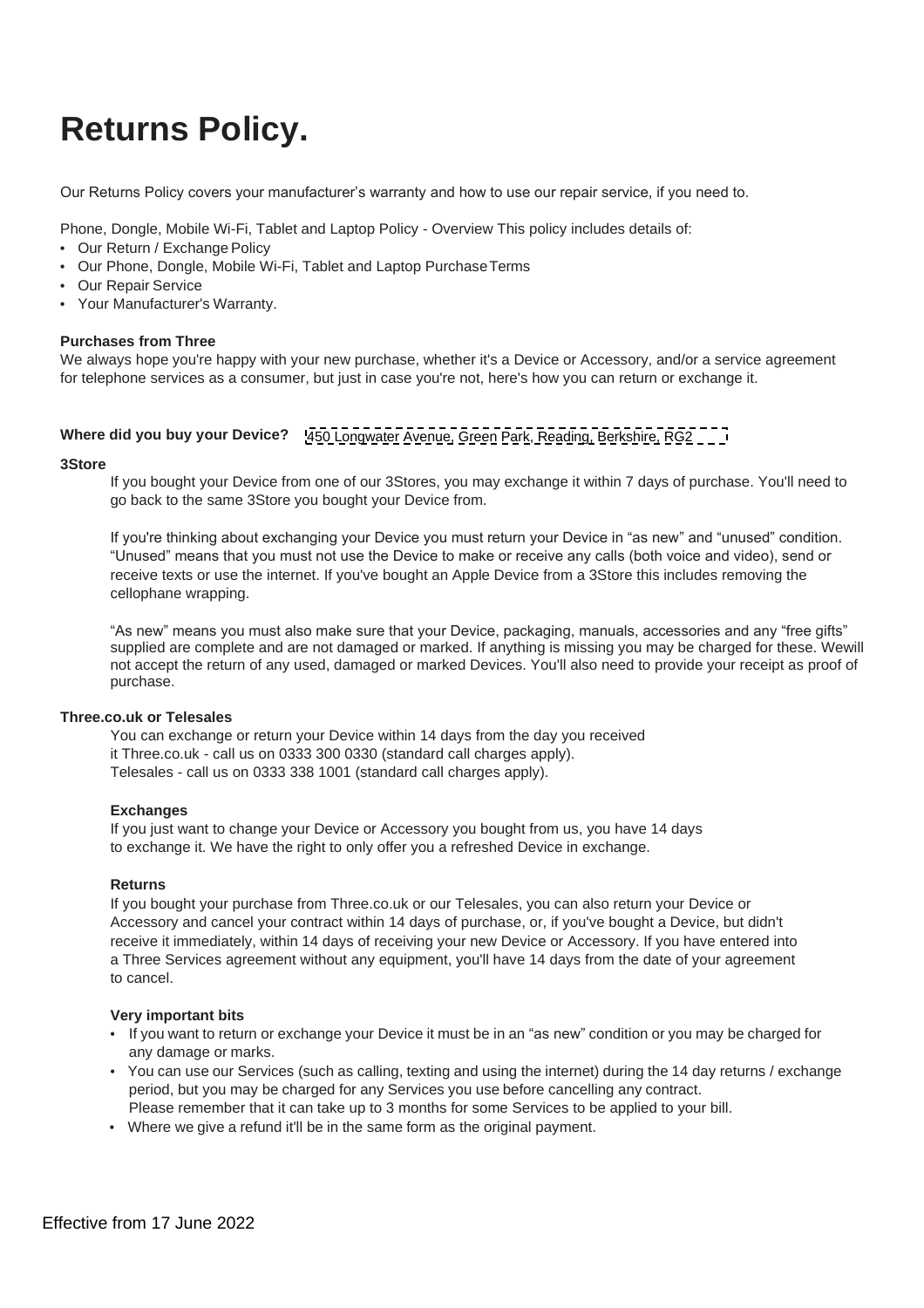# <span id="page-1-0"></span>**Returns Policy.**

Our Returns Policy covers your manufacturer's warranty and how to use our repair service, if you need to.

Phone, Dongle, Mobile Wi-Fi, Tablet and Laptop Policy - Overview This policy includes details of:

- **•** Our Return / Exchange Policy
- **•** Our Phone, Dongle, Mobile Wi-Fi, Tablet and Laptop PurchaseTerms
- **•** Our Repair Service
- **•** Your Manufacturer's Warranty.

#### **Purchases from Three**

We always hope you're happy with your new purchase, whether it's a Device or Accessory, and/or a service agreement for telephone services as a consumer, but just in case you're not, here's how you can return or exchange it.

# **Where did you buy your Device?**  450 Longwater Avenue, Green Park, Reading, Berkshire, RG2

#### **3Store**

If you bought your Device from one of our 3Stores, you may exchange it within 7 days of purchase. You'll need to go back to the same 3Store you bought your Device from.

If you're thinking about exchanging your Device you must return your Device in "as new" and "unused" condition. "Unused" means that you must not use the Device to make or receive any calls (both voice and video), send or receive texts or use the internet. If you've bought an Apple Device from a 3Store this includes removing the cellophane wrapping.

"As new" means you must also make sure that your Device, packaging, manuals, accessories and any "free gifts" supplied are complete and are not damaged or marked. If anything is missing you may be charged for these. Wewill not accept the return of any used, damaged or marked Devices. You'll also need to provide your receipt as proof of purchase.

#### **Three.co.uk or Telesales**

You can exchange or return your Device within 14 days from the day you received it Three.co.uk - call us on 0333 300 0330 (standard call charges apply). Telesales - call us on 0333 338 1001 (standard call charges apply).

#### **Exchanges**

If you just want to change your Device or Accessory you bought from us, you have 14 days to exchange it. We have the right to only offer you a refreshed Device in exchange.

#### **Returns**

If you bought your purchase from Three.co.uk or our Telesales, you can also return your Device or Accessory and cancel your contract within 14 days of purchase, or, if you've bought a Device, but didn't receive it immediately, within 14 days of receiving your new Device or Accessory. If you have entered into a Three Services agreement without any equipment, you'll have 14 days from the date of your agreement to cancel.

#### **Very important bits**

- **•** If you want to return or exchange your Device it must be in an "as new" condition or you may be charged for any damage or marks.
- **•** You can use our Services (such as calling, texting and using the internet) during the 14 day returns / exchange period, but you may be charged for any Services you use before cancelling any contract. Please remember that it can take up to 3 months for some Services to be applied to your bill.
- 
- **•** Where we give a refund it'll be in the same form as the original payment.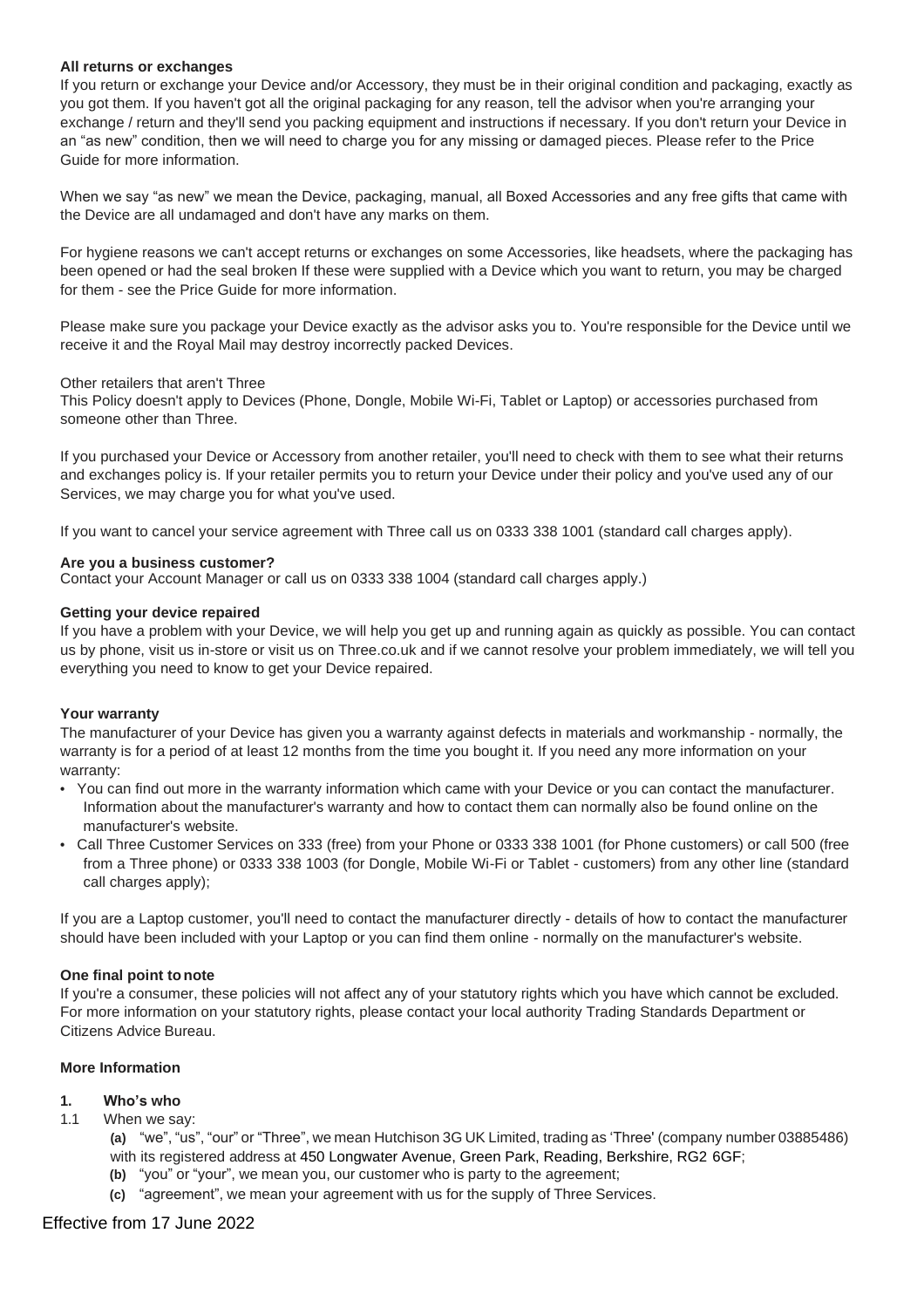#### **All returns or exchanges**

If you return or exchange your Device and/or Accessory, they must be in their original condition and packaging, exactly as you got them. If you haven't got all the original packaging for any reason, tell the advisor when you're arranging your exchange / return and they'll send you packing equipment and instructions if necessary. If you don't return your Device in an "as new" condition, then we will need to charge you for any missing or damaged pieces. Please refer to the Price Guide for more information.

When we say "as new" we mean the Device, packaging, manual, all Boxed Accessories and any free gifts that came with the Device are all undamaged and don't have any marks on them.

For hygiene reasons we can't accept returns or exchanges on some Accessories, like headsets, where the packaging has been opened or had the seal broken If these were supplied with a Device which you want to return, you may be charged for them - see the Price Guide for more information.

Please make sure you package your Device exactly as the advisor asks you to. You're responsible for the Device until we receive it and the Royal Mail may destroy incorrectly packed Devices.

#### Other retailers that aren't Three

This Policy doesn't apply to Devices (Phone, Dongle, Mobile Wi-Fi, Tablet or Laptop) or accessories purchased from someone other than Three.

If you purchased your Device or Accessory from another retailer, you'll need to check with them to see what their returns and exchanges policy is. If your retailer permits you to return your Device under their policy and you've used any of our Services, we may charge you for what you've used.

If you want to cancel your service agreement with Three call us on 0333 338 1001 (standard call charges apply).

#### **Are you a business customer?**

Contact your Account Manager or call us on 0333 338 1004 (standard call charges apply.)

#### **Getting your device repaired**

If you have a problem with your Device, we will help you get up and running again as quickly as possible. You can contact us by phone, visit us in-store or visit us on Three.co.uk and if we cannot resolve your problem immediately, we will tell you everything you need to know to get your Device repaired.

#### **Your warranty**

The manufacturer of your Device has given you a warranty against defects in materials and workmanship - normally, the warranty is for a period of at least 12 months from the time you bought it. If you need any more information on your warranty:

- **•** You can find out more in the warranty information which came with your Device or you can contact the manufacturer. Information about the manufacturer's warranty and how to contact them can normally also be found online on the manufacturer's website.
- **•** Call Three Customer Services on 333 (free) from your Phone or 0333 338 1001 (for Phone customers) or call 500 (free from a Three phone) or 0333 338 1003 (for Dongle, Mobile Wi-Fi or Tablet - customers) from any other line (standard call charges apply);

If you are a Laptop customer, you'll need to contact the manufacturer directly - details of how to contact the manufacturer should have been included with your Laptop or you can find them online - normally on the manufacturer's website.

#### **One final point to note**

If you're a consumer, these policies will not affect any of your statutory rights which you have which cannot be excluded. For more information on your statutory rights, please contact your local authority Trading Standards Department or Citizens Advice Bureau.

# **More Information**

# **1. Who's who**

1.1 When we say:

**(a)** "we", "us", "our" or "Three", we mean Hutchison 3G UK Limited, trading as 'Three' (company number 03885486) with its registered address at 450 Longwater Avenue, Green Park, Reading, Berkshire, RG2 6GF;

- **(b)** "you" or "your", we mean you, our customer who is party to the agreement;
- **(c)** "agreement", we mean your agreement with us for the supply of Three Services.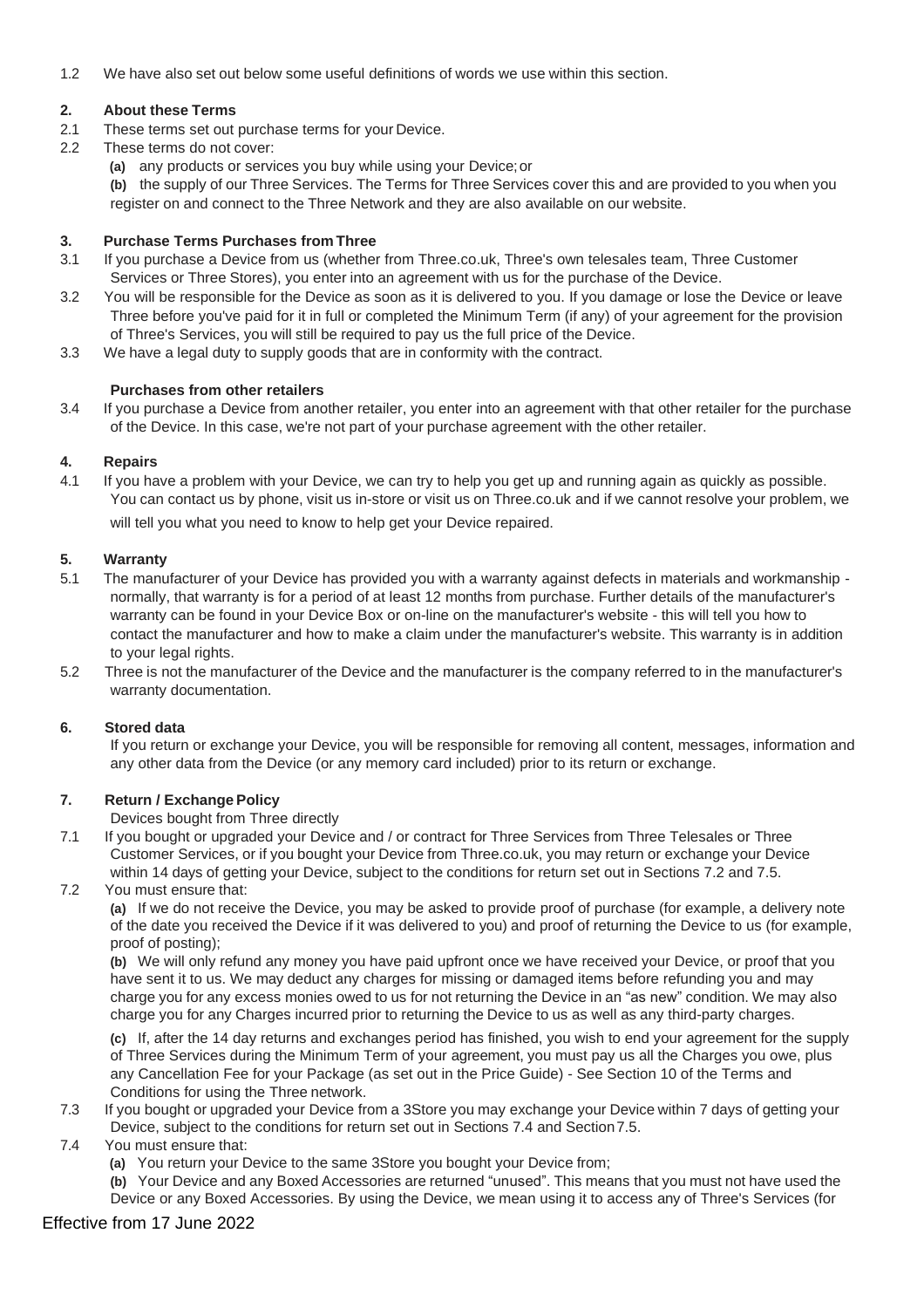1.2 We have also set out below some useful definitions of words we use within this section.

# **2. About these Terms**

- 2.1 These terms set out purchase terms for your Device.
- 2.2 These terms do not cover:
	- **(a)** any products or services you buy while using your Device;or

**(b)** the supply of our Three Services. The Terms for Three Services cover this and are provided to you when you register on and connect to the Three Network and they are also available on our website.

#### **3. Purchase Terms Purchases from Three**

- 3.1 If you purchase a Device from us (whether from Three.co.uk, Three's own telesales team, Three Customer Services or Three Stores), you enter into an agreement with us for the purchase of the Device.
- 3.2 You will be responsible for the Device as soon as it is delivered to you. If you damage or lose the Device or leave Three before you've paid for it in full or completed the Minimum Term (if any) of your agreement for the provision of Three's Services, you will still be required to pay us the full price of the Device.
- 3.3 We have a legal duty to supply goods that are in conformity with the contract.

#### **Purchases from other retailers**

3.4 If you purchase a Device from another retailer, you enter into an agreement with that other retailer for the purchase of the Device. In this case, we're not part of your purchase agreement with the other retailer.

#### **4. Repairs**

4.1 If you have a problem with your Device, we can try to help you get up and running again as quickly as possible. You can contact us by phone, visit us in-store or visit us on Three.co.uk and if we cannot resolve your problem, we will tell you what you need to know to help get your Device repaired.

#### **5. Warranty**

- 5.1 The manufacturer of your Device has provided you with a warranty against defects in materials and workmanship normally, that warranty is for a period of at least 12 months from purchase. Further details of the manufacturer's warranty can be found in your Device Box or on-line on the manufacturer's website - this will tell you how to contact the manufacturer and how to make a claim under the manufacturer's website. This warranty is in addition to your legal rights.
- 5.2 Three is not the manufacturer of the Device and the manufacturer is the company referred to in the manufacturer's warranty documentation.

#### **6. Stored data**

If you return or exchange your Device, you will be responsible for removing all content, messages, information and any other data from the Device (or any memory card included) prior to its return or exchange.

# **7. Return / Exchange Policy**

Devices bought from Three directly

- 7.1 If you bought or upgraded your Device and / or contract for Three Services from Three Telesales or Three Customer Services, or if you bought your Device from Three.co.uk, you may return or exchange your Device within 14 days of getting your Device, subject to the conditions for return set out in Sections 7.2 and 7.5.
- 7.2 You must ensure that:

**(a)** If we do not receive the Device, you may be asked to provide proof of purchase (for example, a delivery note of the date you received the Device if it was delivered to you) and proof of returning the Device to us (for example, proof of posting);

**(b)** We will only refund any money you have paid upfront once we have received your Device, or proof that you have sent it to us. We may deduct any charges for missing or damaged items before refunding you and may charge you for any excess monies owed to us for not returning the Device in an "as new" condition. We may also charge you for any Charges incurred prior to returning the Device to us as well as any third-party charges.

**(c)** If, after the 14 day returns and exchanges period has finished, you wish to end your agreement for the supply of Three Services during the Minimum Term of your agreement, you must pay us all the Charges you owe, plus any Cancellation Fee for your Package (as set out in the Price Guide) - See Section 10 of the Terms and Conditions for using the Three network.

- 7.3 If you bought or upgraded your Device from a 3Store you may exchange your Device within 7 days of getting your Device, subject to the conditions for return set out in Sections 7.4 and Section7.5.
- 7.4 You must ensure that:

**(a)** You return your Device to the same 3Store you bought your Device from;

**(b)** Your Device and any Boxed Accessories are returned "unused". This means that you must not have used the Device or any Boxed Accessories. By using the Device, we mean using it to access any of Three's Services (for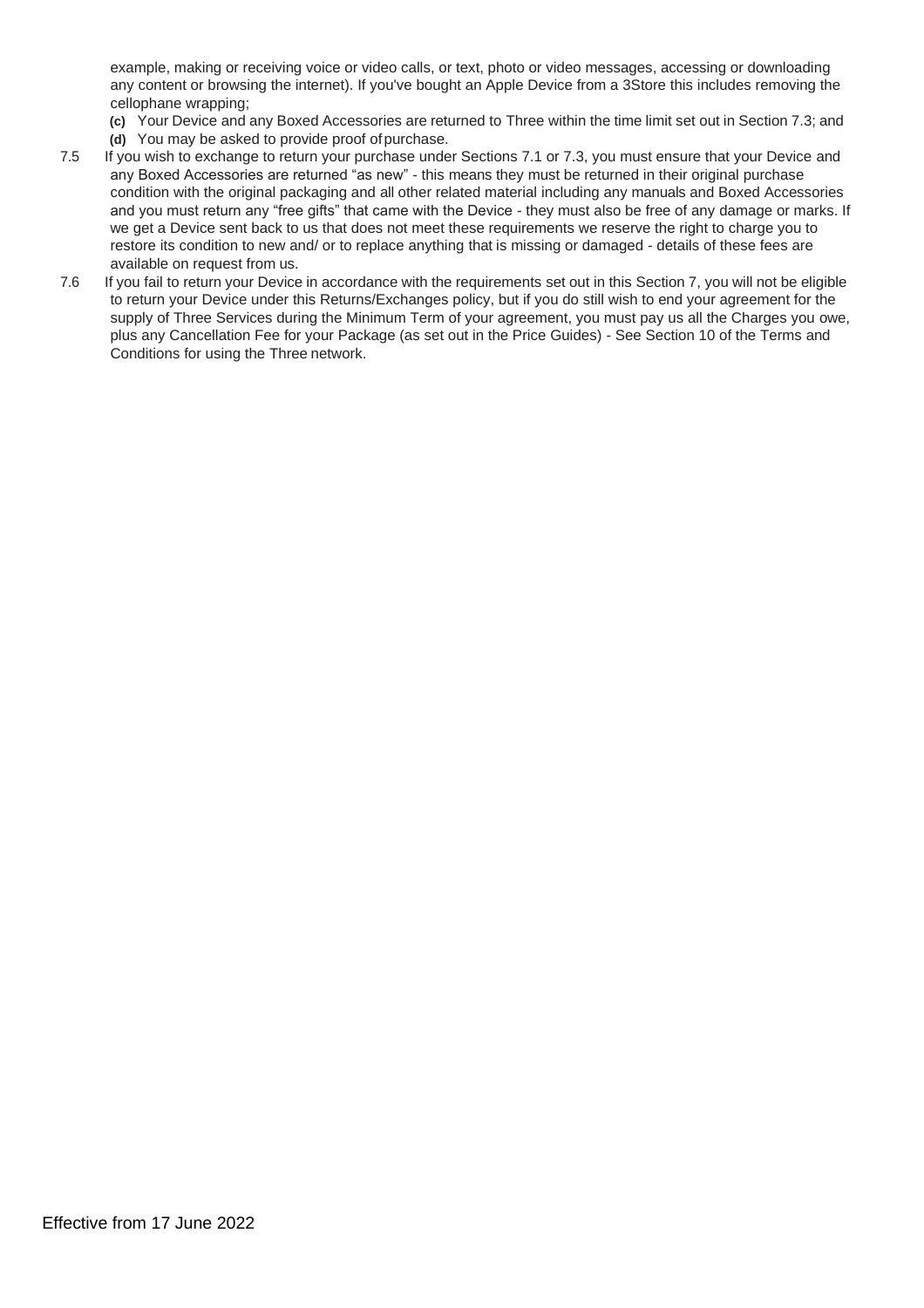example, making or receiving voice or video calls, or text, photo or video messages, accessing or downloading any content or browsing the internet). If you've bought an Apple Device from a 3Store this includes removing the cellophane wrapping;

**(c)** Your Device and any Boxed Accessories are returned to Three within the time limit set out in Section 7.3; and

- **(d)** You may be asked to provide proof ofpurchase.
- 7.5 If you wish to exchange to return your purchase under Sections 7.1 or 7.3, you must ensure that your Device and any Boxed Accessories are returned "as new" - this means they must be returned in their original purchase condition with the original packaging and all other related material including any manuals and Boxed Accessories and you must return any "free gifts" that came with the Device - they must also be free of any damage or marks. If we get a Device sent back to us that does not meet these requirements we reserve the right to charge you to restore its condition to new and/ or to replace anything that is missing or damaged - details of these fees are available on request from us.
- <span id="page-4-0"></span>7.6 If you fail to return your Device in accordance with the requirements set out in this Section 7, you will not be eligible to return your Device under this Returns/Exchanges policy, but if you do still wish to end your agreement for the supply of Three Services during the Minimum Term of your agreement, you must pay us all the Charges you owe, plus any Cancellation Fee for your Package (as set out in the Price Guides) - See Section 10 of the Terms and Conditions for using the Three network.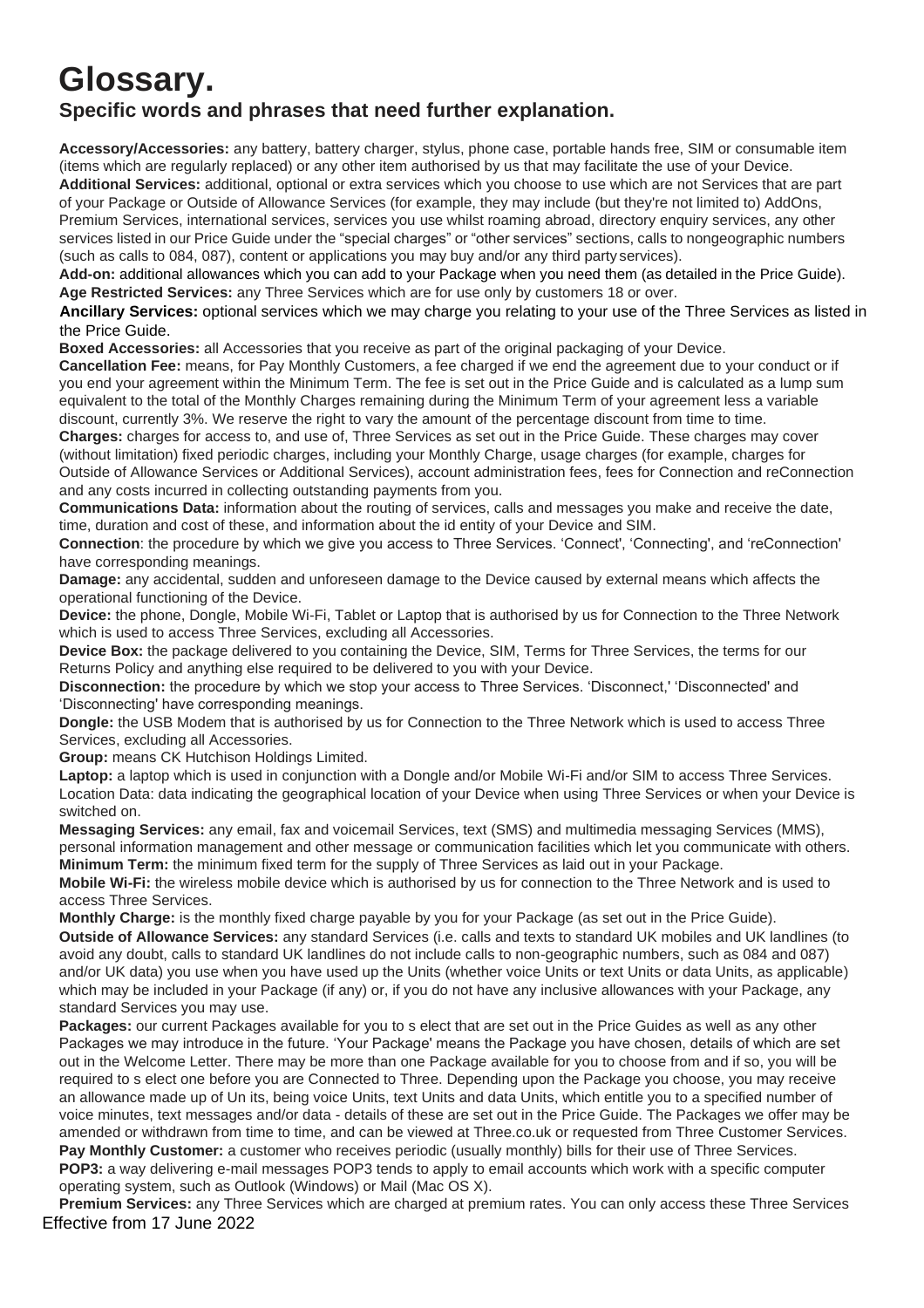# **Glossary. Specific words and phrases that need further explanation.**

**Accessory/Accessories:** any battery, battery charger, stylus, phone case, portable hands free, SIM or consumable item (items which are regularly replaced) or any other item authorised by us that may facilitate the use of your Device.

**Additional Services:** additional, optional or extra services which you choose to use which are not Services that are part of your Package or Outside of Allowance Services (for example, they may include (but they're not limited to) AddOns, Premium Services, international services, services you use whilst roaming abroad, directory enquiry services, any other services listed in our Price Guide under the "special charges" or "other services" sections, calls to nongeographic numbers (such as calls to 084, 087), content or applications you may buy and/or any third party services).

**Add-on:** additional allowances which you can add to your Package when you need them (as detailed in the Price Guide). **Age Restricted Services:** any Three Services which are for use only by customers 18 or over.

**Ancillary Services:** optional services which we may charge you relating to your use of the Three Services as listed in the Price Guide.

**Boxed Accessories:** all Accessories that you receive as part of the original packaging of your Device.

**Cancellation Fee:** means, for Pay Monthly Customers, a fee charged if we end the agreement due to your conduct or if you end your agreement within the Minimum Term. The fee is set out in the Price Guide and is calculated as a lump sum equivalent to the total of the Monthly Charges remaining during the Minimum Term of your agreement less a variable discount, currently 3%. We reserve the right to vary the amount of the percentage discount from time to time.

**Charges:** charges for access to, and use of, Three Services as set out in the Price Guide. These charges may cover (without limitation) fixed periodic charges, including your Monthly Charge, usage charges (for example, charges for Outside of Allowance Services or Additional Services), account administration fees, fees for Connection and reConnection and any costs incurred in collecting outstanding payments from you.

**Communications Data:** information about the routing of services, calls and messages you make and receive the date, time, duration and cost of these, and information about the id entity of your Device and SIM.

**Connection**: the procedure by which we give you access to Three Services. 'Connect', 'Connecting', and 'reConnection' have corresponding meanings.

**Damage:** any accidental, sudden and unforeseen damage to the Device caused by external means which affects the operational functioning of the Device.

**Device:** the phone, Dongle, Mobile Wi-Fi, Tablet or Laptop that is authorised by us for Connection to the Three Network which is used to access Three Services, excluding all Accessories.

**Device Box:** the package delivered to you containing the Device, SIM, Terms for Three Services, the terms for our Returns Policy and anything else required to be delivered to you with your Device.

**Disconnection:** the procedure by which we stop your access to Three Services. 'Disconnect,' 'Disconnected' and 'Disconnecting' have corresponding meanings.

**Dongle:** the USB Modem that is authorised by us for Connection to the Three Network which is used to access Three Services, excluding all Accessories.

**Group:** means CK Hutchison Holdings Limited.

Laptop: a laptop which is used in conjunction with a Dongle and/or Mobile Wi-Fi and/or SIM to access Three Services. Location Data: data indicating the geographical location of your Device when using Three Services or when your Device is switched on.

**Messaging Services:** any email, fax and voicemail Services, text (SMS) and multimedia messaging Services (MMS), personal information management and other message or communication facilities which let you communicate with others. **Minimum Term:** the minimum fixed term for the supply of Three Services as laid out in your Package.

**Mobile Wi-Fi:** the wireless mobile device which is authorised by us for connection to the Three Network and is used to access Three Services.

**Monthly Charge:** is the monthly fixed charge payable by you for your Package (as set out in the Price Guide).

**Outside of Allowance Services:** any standard Services (i.e. calls and texts to standard UK mobiles and UK landlines (to avoid any doubt, calls to standard UK landlines do not include calls to non-geographic numbers, such as 084 and 087) and/or UK data) you use when you have used up the Units (whether voice Units or text Units or data Units, as applicable) which may be included in your Package (if any) or, if you do not have any inclusive allowances with your Package, any standard Services you may use.

**Packages:** our current Packages available for you to s elect that are set out in the Price Guides as well as any other Packages we may introduce in the future. 'Your Package' means the Package you have chosen, details of which are set out in the Welcome Letter. There may be more than one Package available for you to choose from and if so, you will be required to s elect one before you are Connected to Three. Depending upon the Package you choose, you may receive an allowance made up of Un its, being voice Units, text Units and data Units, which entitle you to a specified number of voice minutes, text messages and/or data - details of these are set out in the Price Guide. The Packages we offer may be amended or withdrawn from time to time, and can be viewed at Three.co.uk or requested from Three Customer Services. **Pay Monthly Customer:** a customer who receives periodic (usually monthly) bills for their use of Three Services. **POP3:** a way delivering e-mail messages POP3 tends to apply to email accounts which work with a specific computer operating system, such as Outlook (Windows) or Mail (Mac OS X).

Effective from 17 June 2022 **Premium Services:** any Three Services which are charged at premium rates. You can only access these Three Services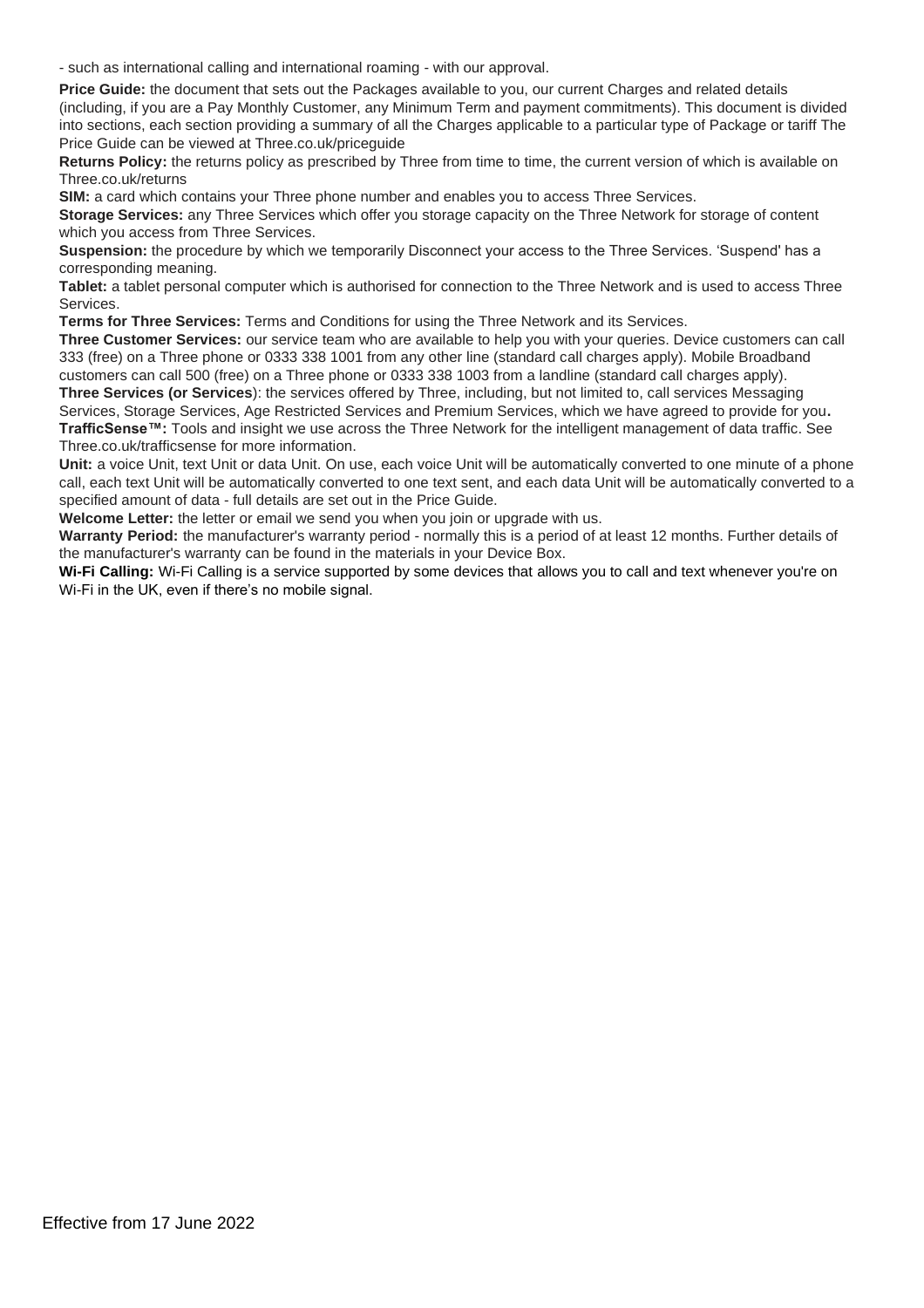- such as international calling and international roaming - with our approval.

**Price Guide:** the document that sets out the Packages available to you, our current Charges and related details (including, if you are a Pay Monthly Customer, any Minimum Term and payment commitments). This document is divided into sections, each section providing a summary of all the Charges applicable to a particular type of Package or tariff The Price Guide can be viewed at Three.co.uk/priceguide

**Returns Policy:** the returns policy as prescribed by Three from time to time, the current version of which is available on Three.co.uk/returns

**SIM:** a card which contains your Three phone number and enables you to access Three Services.

**Storage Services:** any Three Services which offer you storage capacity on the Three Network for storage of content which you access from Three Services.

**Suspension:** the procedure by which we temporarily Disconnect your access to the Three Services. 'Suspend' has a corresponding meaning.

**Tablet:** a tablet personal computer which is authorised for connection to the Three Network and is used to access Three Services.

**Terms for Three Services:** Terms and Conditions for using the Three Network and its Services.

**Three Customer Services:** our service team who are available to help you with your queries. Device customers can call 333 (free) on a Three phone or 0333 338 1001 from any other line (standard call charges apply). Mobile Broadband customers can call 500 (free) on a Three phone or 0333 338 1003 from a landline (standard call charges apply).

**Three Services (or Services**): the services offered by Three, including, but not limited to, call services Messaging Services, Storage Services, Age Restricted Services and Premium Services, which we have agreed to provide for you**. TrafficSense™:** Tools and insight we use across the Three Network for the intelligent management of data traffic. See Three.co.uk/trafficsense for more information.

Unit: a voice Unit, text Unit or data Unit. On use, each voice Unit will be automatically converted to one minute of a phone call, each text Unit will be automatically converted to one text sent, and each data Unit will be automatically converted to a specified amount of data - full details are set out in the Price Guide.

**Welcome Letter:** the letter or email we send you when you join or upgrade with us.

**Warranty Period:** the manufacturer's warranty period - normally this is a period of at least 12 months. Further details of the manufacturer's warranty can be found in the materials in your Device Box.

**Wi-Fi Calling:** Wi-Fi Calling is a service supported by some devices that allows you to call and text whenever you're on Wi-Fi in the UK, even if there's no mobile signal.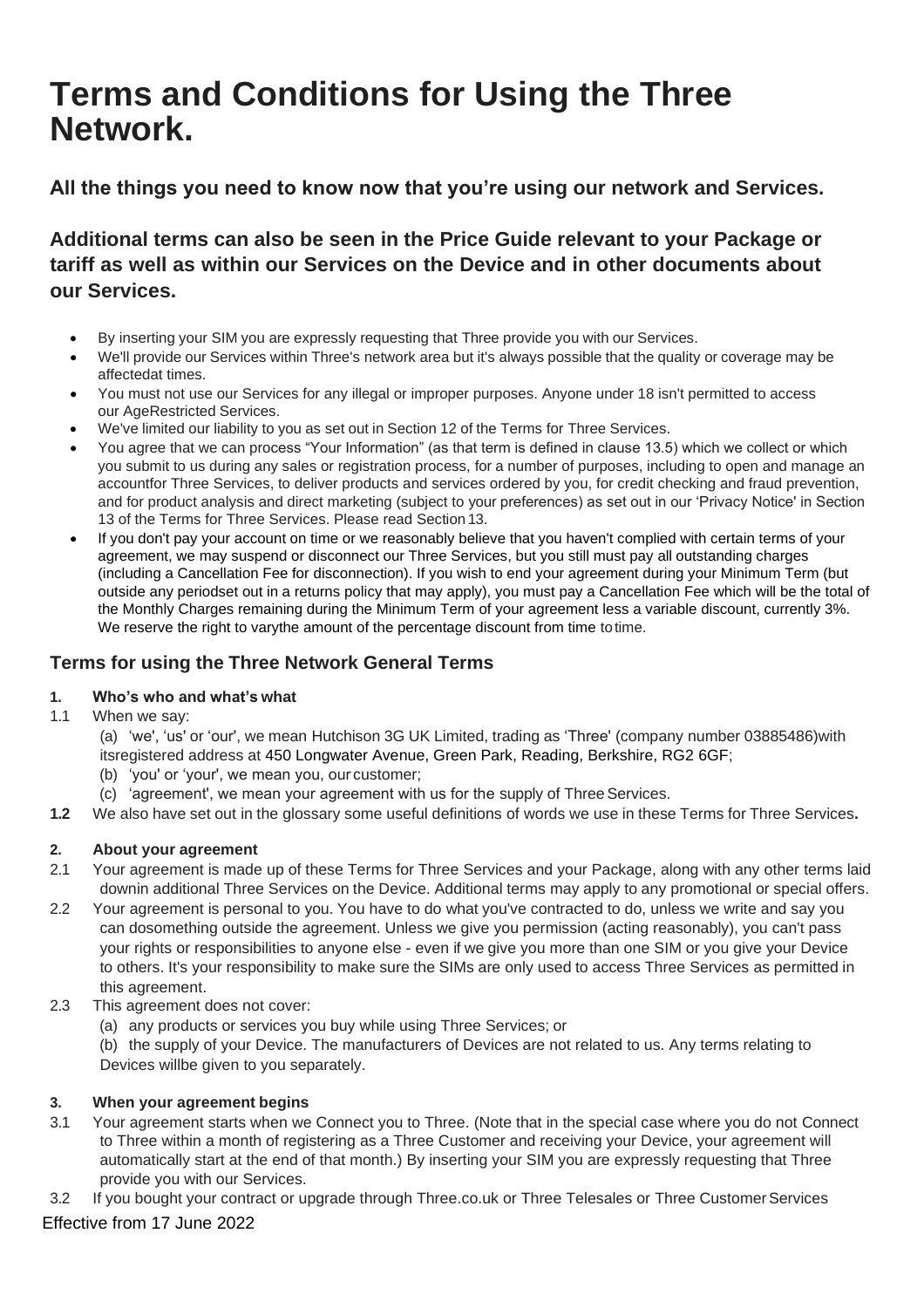# <span id="page-7-0"></span>**Terms and Conditions for Using the Three Network.**

**All the things you need to know now that you're using our network and Services.**

**Additional terms can also be seen in the Price Guide relevant to your Package or tariff as well as within our Services on the Device and in other documents about our Services.**

- By inserting your SIM you are expressly requesting that Three provide you with our Services.
- We'll provide our Services within Three's network area but it's always possible that the quality or coverage may be affectedat times.
- You must not use our Services for any illegal or improper purposes. Anyone under 18 isn't permitted to access our AgeRestricted Services.
- We've limited our liability to you as set out in Section 12 of the Terms for Three Services.
- You agree that we can process "Your Information" (as that term is defined in clause 13.5) which we collect or which you submit to us during any sales or registration process, for a number of purposes, including to open and manage an accountfor Three Services, to deliver products and services ordered by you, for credit checking and fraud prevention, and for product analysis and direct marketing (subject to your preferences) as set out in our 'Privacy Notice' in Section 13 of the Terms for Three Services. Please read Section 13.
- If you don't pay your account on time or we reasonably believe that you haven't complied with certain terms of your agreement, we may suspend or disconnect our Three Services, but you still must pay all outstanding charges (including a Cancellation Fee for disconnection). If you wish to end your agreement during your Minimum Term (but outside any periodset out in a returns policy that may apply), you must pay a Cancellation Fee which will be the total of the Monthly Charges remaining during the Minimum Term of your agreement less a variable discount, currently 3%. We reserve the right to varythe amount of the percentage discount from time to time.

# **Terms for using the Three Network General Terms**

# **1. Who's who and what's what**

1.1 When we say:

(a) 'we', 'us' or 'our', we mean Hutchison 3G UK Limited, trading as 'Three' (company number 03885486)with itsregistered address at 450 Longwater Avenue, Green Park, Reading, Berkshire, RG2 6GF;

- (b) 'you' or 'your', we mean you, our customer;
- (c) 'agreement', we mean your agreement with us for the supply of ThreeServices.
- **1.2** We also have set out in the glossary some useful definitions of words we use in these Terms for Three Services**.**

# **2. About your agreement**

- 2.1 Your agreement is made up of these Terms for Three Services and your Package, along with any other terms laid downin additional Three Services on the Device. Additional terms may apply to any promotional or special offers.
- 2.2 Your agreement is personal to you. You have to do what you've contracted to do, unless we write and say you can dosomething outside the agreement. Unless we give you permission (acting reasonably), you can't pass your rights or responsibilities to anyone else - even if we give you more than one SIM or you give your Device to others. It's your responsibility to make sure the SIMs are only used to access Three Services as permitted in this agreement.
- 2.3 This agreement does not cover:
	- (a) any products or services you buy while using Three Services; or

(b) the supply of your Device. The manufacturers of Devices are not related to us. Any terms relating to Devices willbe given to you separately.

# **3. When your agreement begins**

- 3.1 Your agreement starts when we Connect you to Three. (Note that in the special case where you do not Connect to Three within a month of registering as a Three Customer and receiving your Device, your agreement will automatically start at the end of that month.) By inserting your SIM you are expressly requesting that Three provide you with our Services.
- 3.2 If you bought your contract or upgrade through Three.co.uk or Three Telesales or Three Customer Services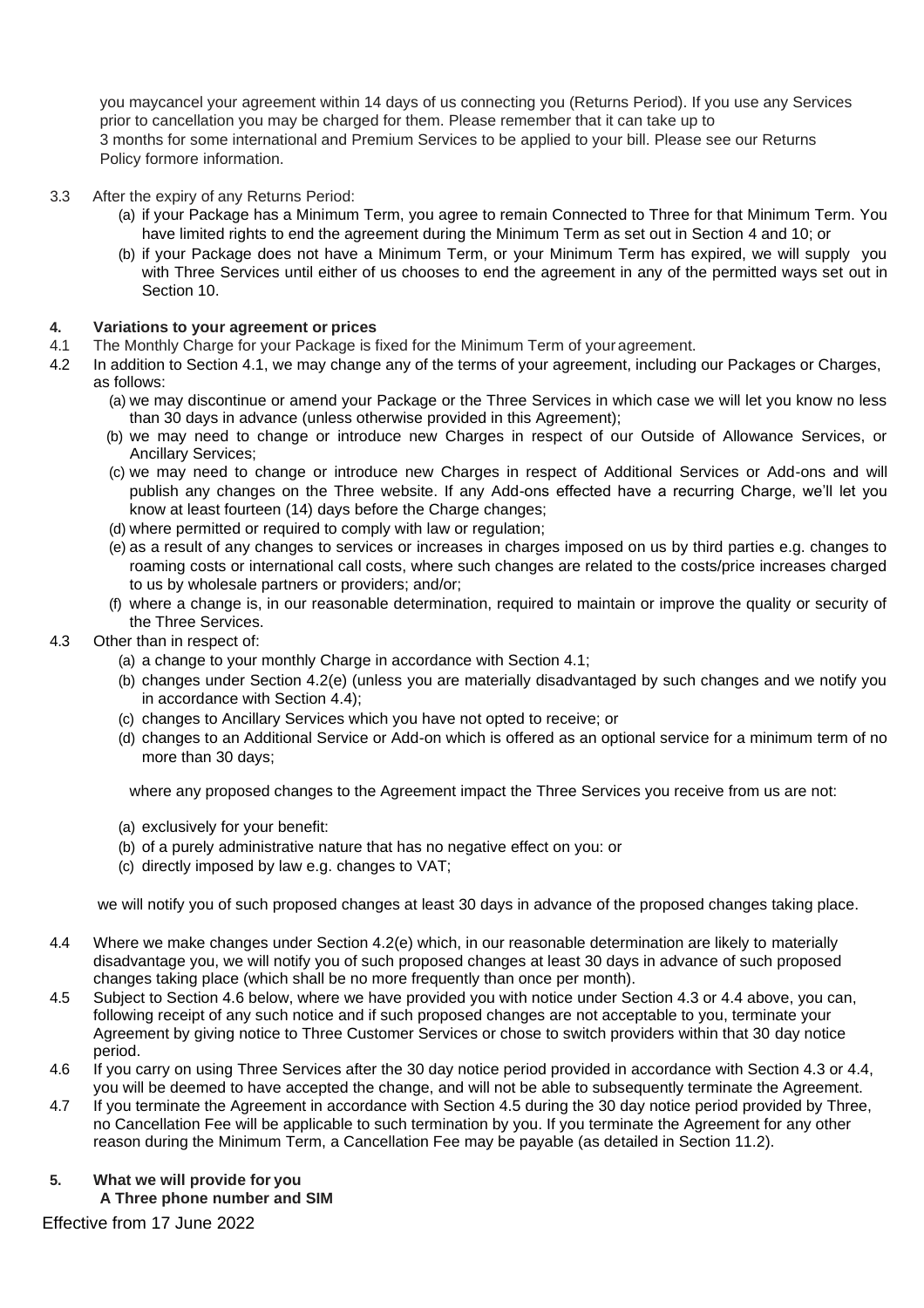you maycancel your agreement within 14 days of us connecting you (Returns Period). If you use any Services prior to cancellation you may be charged for them. Please remember that it can take up to 3 months for some international and Premium Services to be applied to your bill. Please see our Returns Policy formore information.

- 3.3 After the expiry of any Returns Period:
	- (a) if your Package has a Minimum Term, you agree to remain Connected to Three for that Minimum Term. You have limited rights to end the agreement during the Minimum Term as set out in Section 4 and 10; or
	- (b) if your Package does not have a Minimum Term, or your Minimum Term has expired, we will supply you with Three Services until either of us chooses to end the agreement in any of the permitted ways set out in Section 10.

## **4. Variations to your agreement or prices**

- 4.1 The Monthly Charge for your Package is fixed for the Minimum Term of youragreement.
- 4.2 In addition to Section 4.1, we may change any of the terms of your agreement, including our Packages or Charges, as follows:
	- (a) we may discontinue or amend your Package or the Three Services in which case we will let you know no less than 30 days in advance (unless otherwise provided in this Agreement);
	- (b) we may need to change or introduce new Charges in respect of our Outside of Allowance Services, or Ancillary Services;
	- (c) we may need to change or introduce new Charges in respect of Additional Services or Add-ons and will publish any changes on the Three website. If any Add-ons effected have a recurring Charge, we'll let you know at least fourteen (14) days before the Charge changes;
	- (d) where permitted or required to comply with law or regulation;
	- (e) as a result of any changes to services or increases in charges imposed on us by third parties e.g. changes to roaming costs or international call costs, where such changes are related to the costs/price increases charged to us by wholesale partners or providers; and/or;
	- (f) where a change is, in our reasonable determination, required to maintain or improve the quality or security of the Three Services.

#### 4.3 Other than in respect of:

- (a) a change to your monthly Charge in accordance with Section 4.1;
- (b) changes under Section 4.2(e) (unless you are materially disadvantaged by such changes and we notify you in accordance with Section 4.4);
- (c) changes to Ancillary Services which you have not opted to receive; or
- (d) changes to an Additional Service or Add-on which is offered as an optional service for a minimum term of no more than 30 days;

where any proposed changes to the Agreement impact the Three Services you receive from us are not:

- (a) exclusively for your benefit:
- (b) of a purely administrative nature that has no negative effect on you: or
- (c) directly imposed by law e.g. changes to VAT;

we will notify you of such proposed changes at least 30 days in advance of the proposed changes taking place.

- 4.4 Where we make changes under Section 4.2(e) which, in our reasonable determination are likely to materially disadvantage you, we will notify you of such proposed changes at least 30 days in advance of such proposed changes taking place (which shall be no more frequently than once per month).
- 4.5 Subject to Section 4.6 below, where we have provided you with notice under Section 4.3 or 4.4 above, you can, following receipt of any such notice and if such proposed changes are not acceptable to you, terminate your Agreement by giving notice to Three Customer Services or chose to switch providers within that 30 day notice period.
- 4.6 If you carry on using Three Services after the 30 day notice period provided in accordance with Section 4.3 or 4.4, you will be deemed to have accepted the change, and will not be able to subsequently terminate the Agreement.
- 4.7 If you terminate the Agreement in accordance with Section 4.5 during the 30 day notice period provided by Three, no Cancellation Fee will be applicable to such termination by you. If you terminate the Agreement for any other reason during the Minimum Term, a Cancellation Fee may be payable (as detailed in Section 11.2).
- **5. What we will provide for you A Three phone number and SIM**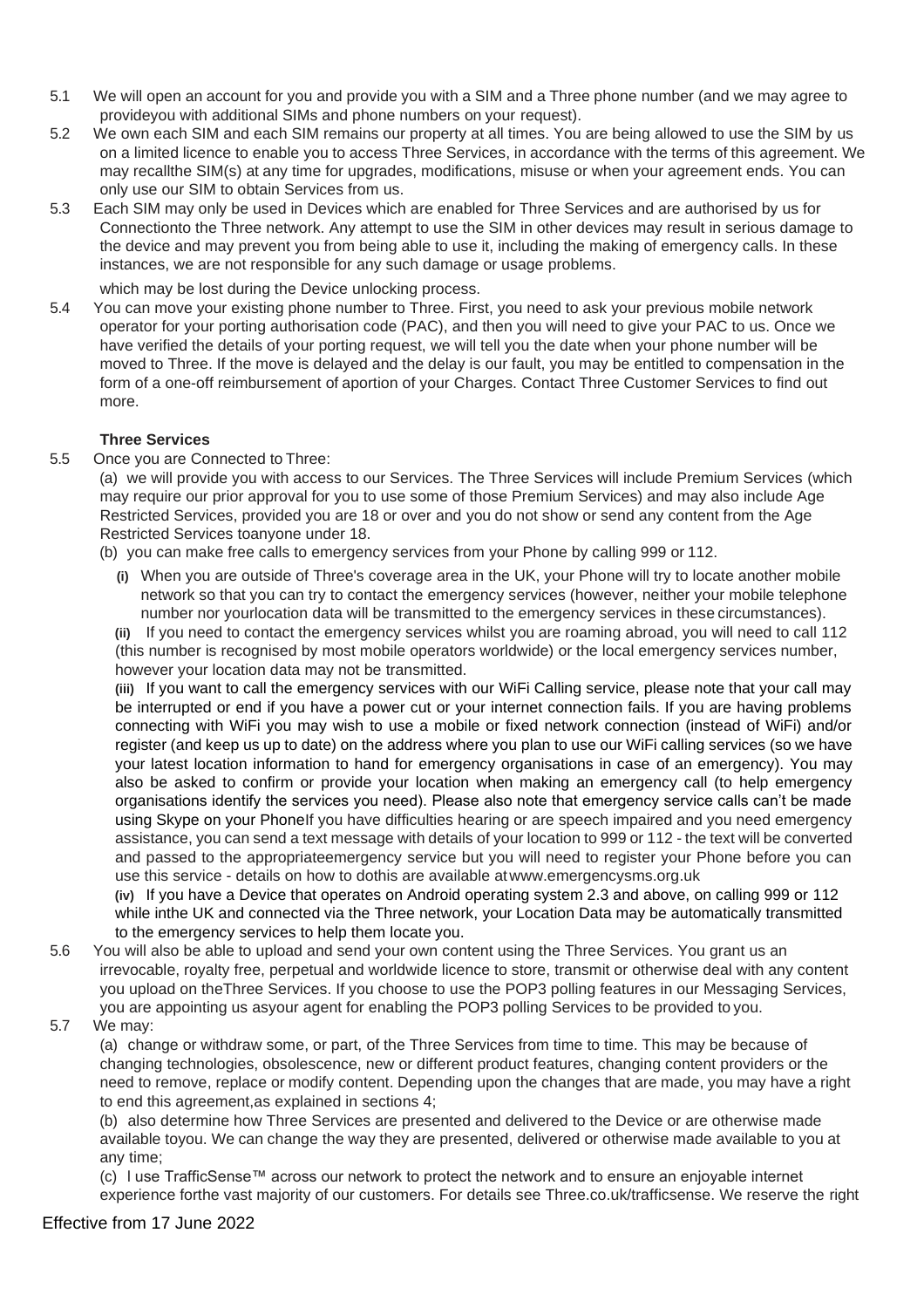- 5.1 We will open an account for you and provide you with a SIM and a Three phone number (and we may agree to provideyou with additional SIMs and phone numbers on your request).
- 5.2 We own each SIM and each SIM remains our property at all times. You are being allowed to use the SIM by us on a limited licence to enable you to access Three Services, in accordance with the terms of this agreement. We may recallthe SIM(s) at any time for upgrades, modifications, misuse or when your agreement ends. You can only use our SIM to obtain Services from us.
- 5.3 Each SIM may only be used in Devices which are enabled for Three Services and are authorised by us for Connectionto the Three network. Any attempt to use the SIM in other devices may result in serious damage to the device and may prevent you from being able to use it, including the making of emergency calls. In these instances, we are not responsible for any such damage or usage problems.

which may be lost during the Device unlocking process.

5.4 You can move your existing phone number to Three. First, you need to ask your previous mobile network operator for your porting authorisation code (PAC), and then you will need to give your PAC to us. Once we have verified the details of your porting request, we will tell you the date when your phone number will be moved to Three. If the move is delayed and the delay is our fault, you may be entitled to compensation in the form of a one-off reimbursement of aportion of your Charges. Contact Three Customer Services to find out more.

# **Three Services**

5.5 Once you are Connected to Three:

(a) we will provide you with access to our Services. The Three Services will include Premium Services (which may require our prior approval for you to use some of those Premium Services) and may also include Age Restricted Services, provided you are 18 or over and you do not show or send any content from the Age Restricted Services toanyone under 18.

(b) you can make free calls to emergency services from your Phone by calling 999 or 112.

**(i)** When you are outside of Three's coverage area in the UK, your Phone will try to locate another mobile network so that you can try to contact the emergency services (however, neither your mobile telephone number nor yourlocation data will be transmitted to the emergency services in these circumstances).

**(ii)** If you need to contact the emergency services whilst you are roaming abroad, you will need to call 112 (this number is recognised by most mobile operators worldwide) or the local emergency services number, however your location data may not be transmitted.

**(iii)** If you want to call the emergency services with our WiFi Calling service, please note that your call may be interrupted or end if you have a power cut or your internet connection fails. If you are having problems connecting with WiFi you may wish to use a mobile or fixed network connection (instead of WiFi) and/or register (and keep us up to date) on the address where you plan to use our WiFi calling services (so we have your latest location information to hand for emergency organisations in case of an emergency). You may also be asked to confirm or provide your location when making an emergency call (to help emergency organisations identify the services you need). Please also note that emergency service calls can't be made using Skype on your PhoneIf you have difficulties hearing or are speech impaired and you need emergency assistance, you can send a text message with details of your location to 999 or 112 - the text will be converted and passed to the appropriateemergency service but you will need to register your Phone before you can use this service - details on how to dothis are available a[twww.emergencysms.org.uk](http://www.emergencysms.org.uk/)

**(iv)** If you have a Device that operates on Android operating system 2.3 and above, on calling 999 or 112 while inthe UK and connected via the Three network, your Location Data may be automatically transmitted to the emergency services to help them locate you.

- 5.6 You will also be able to upload and send your own content using the Three Services. You grant us an irrevocable, royalty free, perpetual and worldwide licence to store, transmit or otherwise deal with any content you upload on theThree Services. If you choose to use the POP3 polling features in our Messaging Services, you are appointing us asyour agent for enabling the POP3 polling Services to be provided to you.
- 5.7 We may:

(a) change or withdraw some, or part, of the Three Services from time to time. This may be because of changing technologies, obsolescence, new or different product features, changing content providers or the need to remove, replace or modify content. Depending upon the changes that are made, you may have a right to end this agreement,as explained in sections 4;

(b) also determine how Three Services are presented and delivered to the Device or are otherwise made available toyou. We can change the way they are presented, delivered or otherwise made available to you at any time;

(c) l use TrafficSense™ across our network to protect the network and to ensure an enjoyable internet experience forthe vast majority of our customers. For details see Three.co.uk/trafficsense. We reserve the right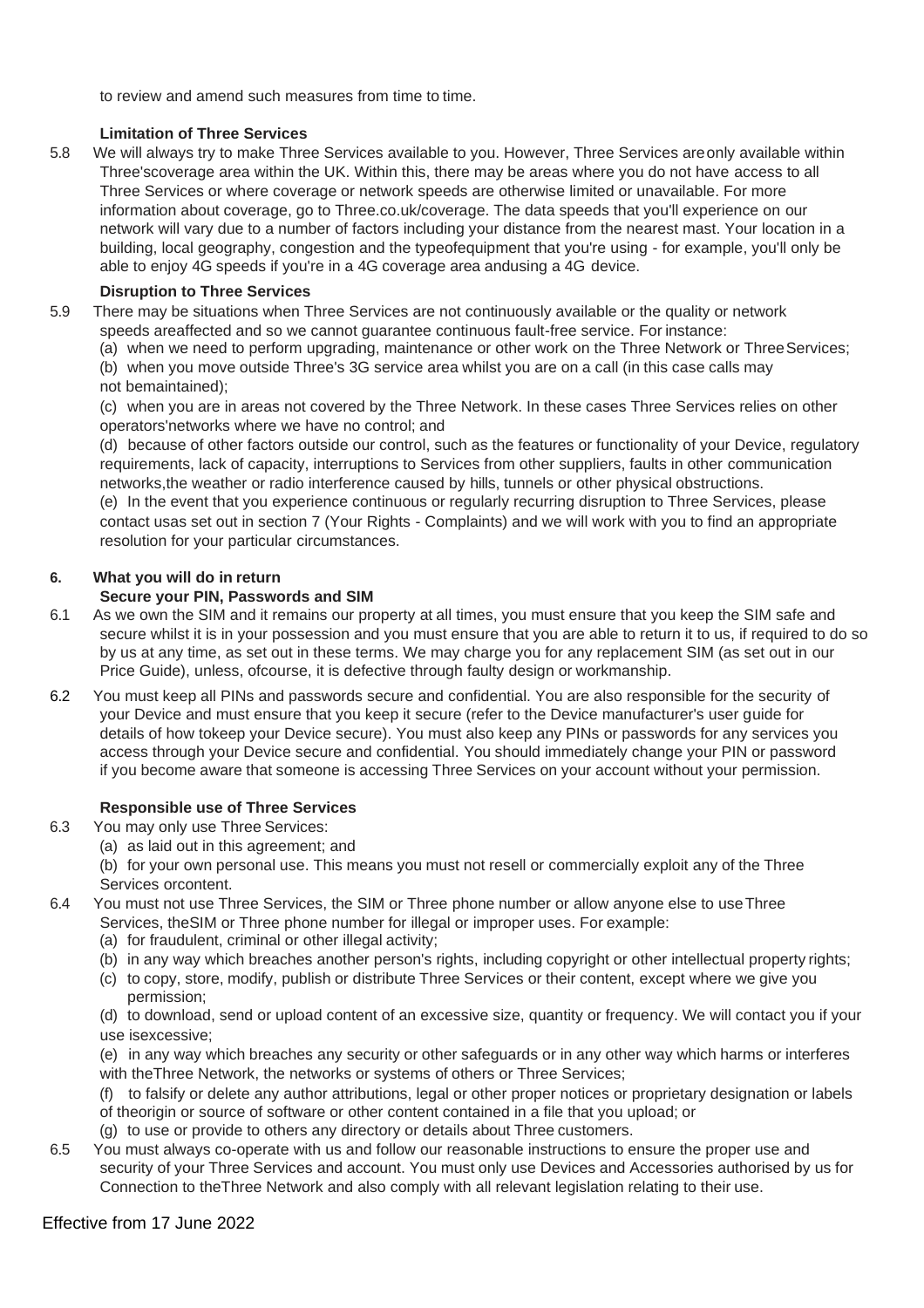to review and amend such measures from time to time.

# **Limitation of Three Services**

5.8 We will always try to make Three Services available to you. However, Three Services areonly available within Three'scoverage area within the UK. Within this, there may be areas where you do not have access to all Three Services or where coverage or network speeds are otherwise limited or unavailable. For more information about coverage, go to Three.co.uk/coverage. The data speeds that you'll experience on our network will vary due to a number of factors including your distance from the nearest mast. Your location in a building, local geography, congestion and the typeofequipment that you're using - for example, you'll only be able to enjoy 4G speeds if you're in a 4G coverage area andusing a 4G device.

# **Disruption to Three Services**

5.9 There may be situations when Three Services are not continuously available or the quality or network speeds areaffected and so we cannot guarantee continuous fault-free service. For instance:

(a) when we need to perform upgrading, maintenance or other work on the Three Network or ThreeServices;

(b) when you move outside Three's 3G service area whilst you are on a call (in this case calls may not bemaintained);

(c) when you are in areas not covered by the Three Network. In these cases Three Services relies on other operators'networks where we have no control; and

(d) because of other factors outside our control, such as the features or functionality of your Device, regulatory requirements, lack of capacity, interruptions to Services from other suppliers, faults in other communication networks,the weather or radio interference caused by hills, tunnels or other physical obstructions.

(e) In the event that you experience continuous or regularly recurring disruption to Three Services, please contact usas set out in section 7 (Your Rights - Complaints) and we will work with you to find an appropriate resolution for your particular circumstances.

# **6. What you will do in return**

# **Secure your PIN, Passwords and SIM**

- 6.1 As we own the SIM and it remains our property at all times, you must ensure that you keep the SIM safe and secure whilst it is in your possession and you must ensure that you are able to return it to us, if required to do so by us at any time, as set out in these terms. We may charge you for any replacement SIM (as set out in our Price Guide), unless, ofcourse, it is defective through faulty design or workmanship.
- 6.2 You must keep all PINs and passwords secure and confidential. You are also responsible for the security of your Device and must ensure that you keep it secure (refer to the Device manufacturer's user guide for details of how tokeep your Device secure). You must also keep any PINs or passwords for any services you access through your Device secure and confidential. You should immediately change your PIN or password if you become aware that someone is accessing Three Services on your account without your permission.

# **Responsible use of Three Services**

- 6.3 You may only use Three Services:
	- (a) as laid out in this agreement; and
	- (b) for your own personal use. This means you must not resell or commercially exploit any of the Three Services orcontent.
- 6.4 You must not use Three Services, the SIM or Three phone number or allow anyone else to useThree Services, theSIM or Three phone number for illegal or improper uses. For example:
	- (a) for fraudulent, criminal or other illegal activity;
	- (b) in any way which breaches another person's rights, including copyright or other intellectual property rights;
	- (c) to copy, store, modify, publish or distribute Three Services or their content, except where we give you permission;

(d) to download, send or upload content of an excessive size, quantity or frequency. We will contact you if your use isexcessive;

(e) in any way which breaches any security or other safeguards or in any other way which harms or interferes with theThree Network, the networks or systems of others or Three Services;

(f) to falsify or delete any author attributions, legal or other proper notices or proprietary designation or labels of theorigin or source of software or other content contained in a file that you upload; or

- (g) to use or provide to others any directory or details about Three customers.
- 6.5 You must always co-operate with us and follow our reasonable instructions to ensure the proper use and security of your Three Services and account. You must only use Devices and Accessories authorised by us for Connection to theThree Network and also comply with all relevant legislation relating to their use.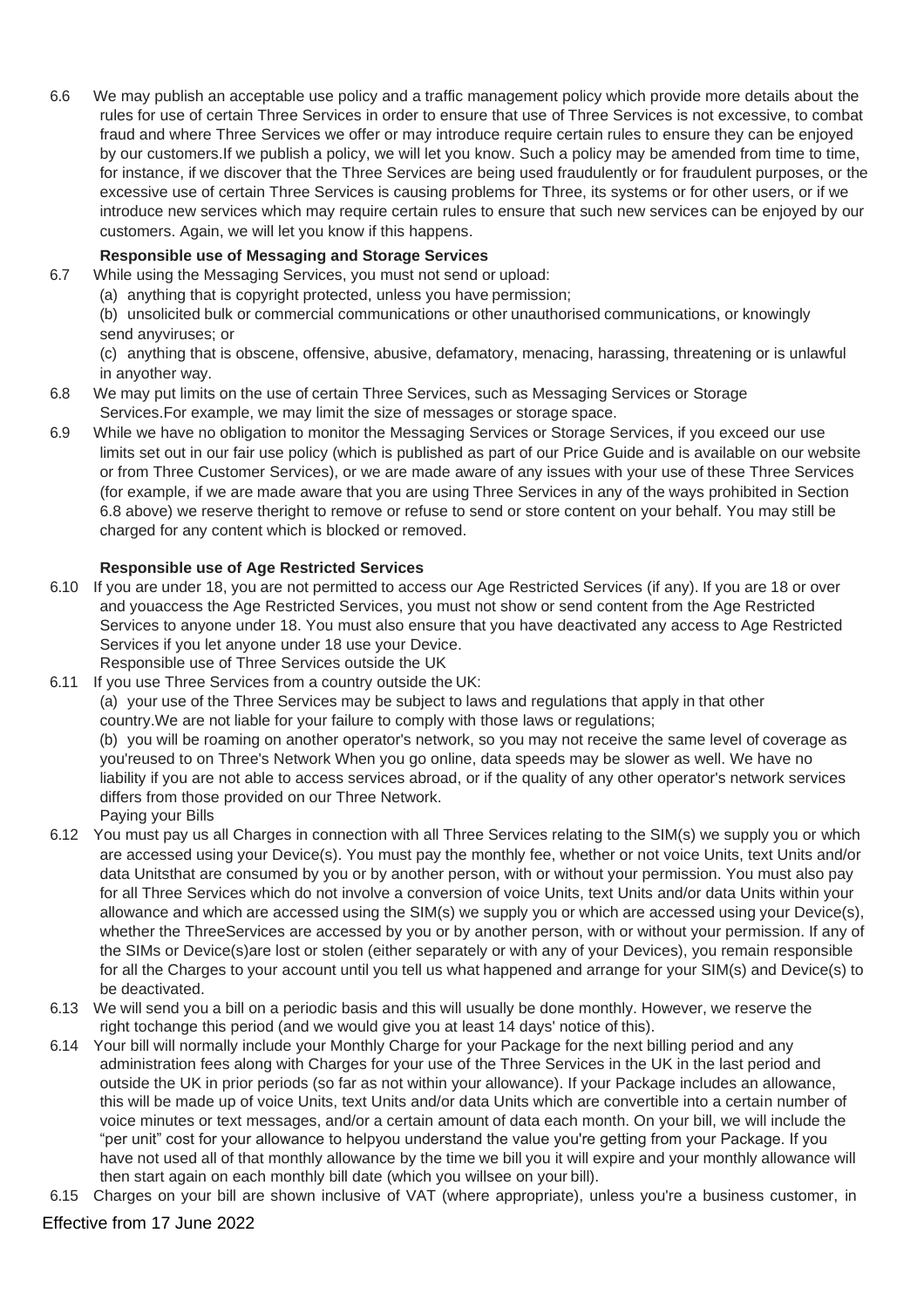6.6 We may publish an acceptable use policy and a traffic management policy which provide more details about the rules for use of certain Three Services in order to ensure that use of Three Services is not excessive, to combat fraud and where Three Services we offer or may introduce require certain rules to ensure they can be enjoyed by our customers.If we publish a policy, we will let you know. Such a policy may be amended from time to time, for instance, if we discover that the Three Services are being used fraudulently or for fraudulent purposes, or the excessive use of certain Three Services is causing problems for Three, its systems or for other users, or if we introduce new services which may require certain rules to ensure that such new services can be enjoyed by our customers. Again, we will let you know if this happens.

# **Responsible use of Messaging and Storage Services**

- 6.7 While using the Messaging Services, you must not send or upload:
	- (a) anything that is copyright protected, unless you have permission;

(b) unsolicited bulk or commercial communications or other unauthorised communications, or knowingly send anyviruses; or

(c) anything that is obscene, offensive, abusive, defamatory, menacing, harassing, threatening or is unlawful in anyother way.

- 6.8 We may put limits on the use of certain Three Services, such as Messaging Services or Storage Services.For example, we may limit the size of messages or storage space.
- 6.9 While we have no obligation to monitor the Messaging Services or Storage Services, if you exceed our use limits set out in our fair use policy (which is published as part of our Price Guide and is available on our website or from Three Customer Services), or we are made aware of any issues with your use of these Three Services (for example, if we are made aware that you are using Three Services in any of the ways prohibited in Section 6.8 above) we reserve theright to remove or refuse to send or store content on your behalf. You may still be charged for any content which is blocked or removed.

# **Responsible use of Age Restricted Services**

6.10 If you are under 18, you are not permitted to access our Age Restricted Services (if any). If you are 18 or over and youaccess the Age Restricted Services, you must not show or send content from the Age Restricted Services to anyone under 18. You must also ensure that you have deactivated any access to Age Restricted Services if you let anyone under 18 use your Device.

Responsible use of Three Services outside the UK

6.11 If you use Three Services from a country outside the UK: (a) your use of the Three Services may be subject to laws and regulations that apply in that other country.We are not liable for your failure to comply with those laws or regulations;

(b) you will be roaming on another operator's network, so you may not receive the same level of coverage as you'reused to on Three's Network When you go online, data speeds may be slower as well. We have no liability if you are not able to access services abroad, or if the quality of any other operator's network services differs from those provided on our Three Network.

- Paying your Bills
- 6.12 You must pay us all Charges in connection with all Three Services relating to the SIM(s) we supply you or which are accessed using your Device(s). You must pay the monthly fee, whether or not voice Units, text Units and/or data Unitsthat are consumed by you or by another person, with or without your permission. You must also pay for all Three Services which do not involve a conversion of voice Units, text Units and/or data Units within your allowance and which are accessed using the SIM(s) we supply you or which are accessed using your Device(s), whether the ThreeServices are accessed by you or by another person, with or without your permission. If any of the SIMs or Device(s)are lost or stolen (either separately or with any of your Devices), you remain responsible for all the Charges to your account until you tell us what happened and arrange for your SIM(s) and Device(s) to be deactivated.
- 6.13 We will send you a bill on a periodic basis and this will usually be done monthly. However, we reserve the right tochange this period (and we would give you at least 14 days' notice of this).
- 6.14 Your bill will normally include your Monthly Charge for your Package for the next billing period and any administration fees along with Charges for your use of the Three Services in the UK in the last period and outside the UK in prior periods (so far as not within your allowance). If your Package includes an allowance, this will be made up of voice Units, text Units and/or data Units which are convertible into a certain number of voice minutes or text messages, and/or a certain amount of data each month. On your bill, we will include the "per unit" cost for your allowance to helpyou understand the value you're getting from your Package. If you have not used all of that monthly allowance by the time we bill you it will expire and your monthly allowance will then start again on each monthly bill date (which you willsee on your bill).
- 6.15 Charges on your bill are shown inclusive of VAT (where appropriate), unless you're a business customer, in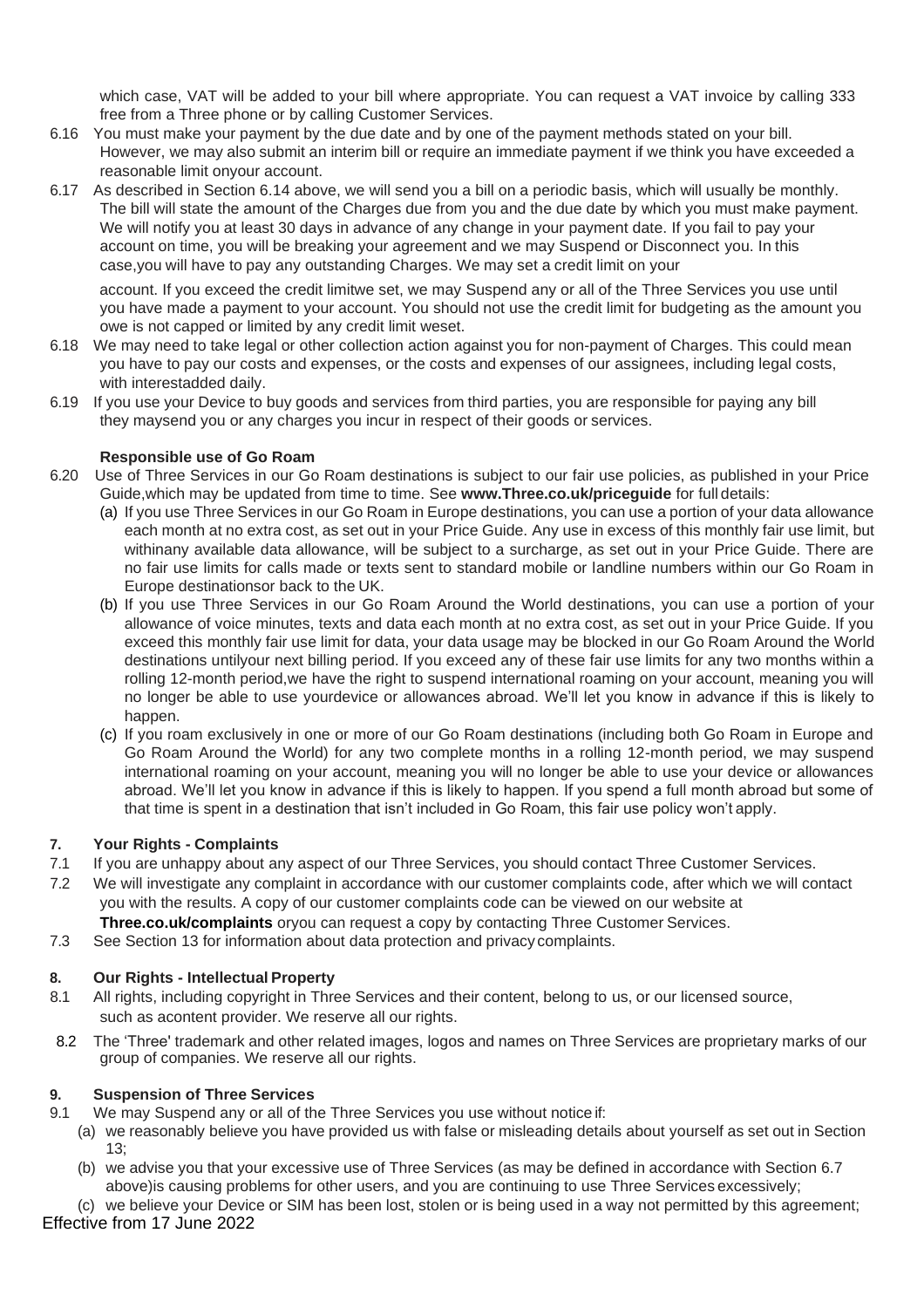which case, VAT will be added to your bill where appropriate. You can request a VAT invoice by calling 333 free from a Three phone or by calling Customer Services.

- 6.16 You must make your payment by the due date and by one of the payment methods stated on your bill. However, we may also submit an interim bill or require an immediate payment if we think you have exceeded a reasonable limit onyour account.
- 6.17 As described in Section 6.14 above, we will send you a bill on a periodic basis, which will usually be monthly. The bill will state the amount of the Charges due from you and the due date by which you must make payment. We will notify you at least 30 days in advance of any change in your payment date. If you fail to pay your account on time, you will be breaking your agreement and we may Suspend or Disconnect you. In this case,you will have to pay any outstanding Charges. We may set a credit limit on your

account. If you exceed the credit limitwe set, we may Suspend any or all of the Three Services you use until you have made a payment to your account. You should not use the credit limit for budgeting as the amount you owe is not capped or limited by any credit limit weset.

- 6.18 We may need to take legal or other collection action against you for non-payment of Charges. This could mean you have to pay our costs and expenses, or the costs and expenses of our assignees, including legal costs, with interestadded daily.
- 6.19 If you use your Device to buy goods and services from third parties, you are responsible for paying any bill they maysend you or any charges you incur in respect of their goods or services.

# **Responsible use of Go Roam**

- 6.20 Use of Three Services in our Go Roam destinations is subject to our fair use policies, as published in your Price Guide,which may be updated from time to time. See **[www.Three.co.uk/priceguide](http://www.three.co.uk/priceguide)** for full details:
	- (a) If you use Three Services in our Go Roam in Europe destinations, you can use a portion of your data allowance each month at no extra cost, as set out in your Price Guide. Any use in excess of this monthly fair use limit, but withinany available data allowance, will be subject to a surcharge, as set out in your Price Guide. There are no fair use limits for calls made or texts sent to standard mobile or landline numbers within our Go Roam in Europe destinationsor back to the UK.
	- (b) If you use Three Services in our Go Roam Around the World destinations, you can use a portion of your allowance of voice minutes, texts and data each month at no extra cost, as set out in your Price Guide. If you exceed this monthly fair use limit for data, your data usage may be blocked in our Go Roam Around the World destinations untilyour next billing period. If you exceed any of these fair use limits for any two months within a rolling 12-month period,we have the right to suspend international roaming on your account, meaning you will no longer be able to use yourdevice or allowances abroad. We'll let you know in advance if this is likely to happen.
	- (c) If you roam exclusively in one or more of our Go Roam destinations (including both Go Roam in Europe and Go Roam Around the World) for any two complete months in a rolling 12-month period, we may suspend international roaming on your account, meaning you will no longer be able to use your device or allowances abroad. We'll let you know in advance if this is likely to happen. If you spend a full month abroad but some of that time is spent in a destination that isn't included in Go Roam, this fair use policy won't apply.

# **7. Your Rights - Complaints**

- 7.1 If you are unhappy about any aspect of our Three Services, you should contact Three Customer Services.
- 7.2 We will investigate any complaint in accordance with our customer complaints code, after which we will contact you with the results. A copy of our customer complaints code can be viewed on our website at **Three.co.uk/complaints** oryou can request a copy by contacting Three Customer Services.
- 7.3 See Section 13 for information about data protection and privacy complaints.

# **8. Our Rights - Intellectual Property**

- 8.1 All rights, including copyright in Three Services and their content, belong to us, or our licensed source, such as acontent provider. We reserve all our rights.
- 8.2 The 'Three' trademark and other related images, logos and names on Three Services are proprietary marks of our group of companies. We reserve all our rights.

# **9. Suspension of Three Services**

- 9.1 We may Suspend any or all of the Three Services you use without notice if:
	- (a) we reasonably believe you have provided us with false or misleading details about yourself as set out in Section 13;
	- (b) we advise you that your excessive use of Three Services (as may be defined in accordance with Section 6.7 above)is causing problems for other users, and you are continuing to use Three Services excessively;
- Effective from 17 June 2022 (c) we believe your Device or SIM has been lost, stolen or is being used in a way not permitted by this agreement;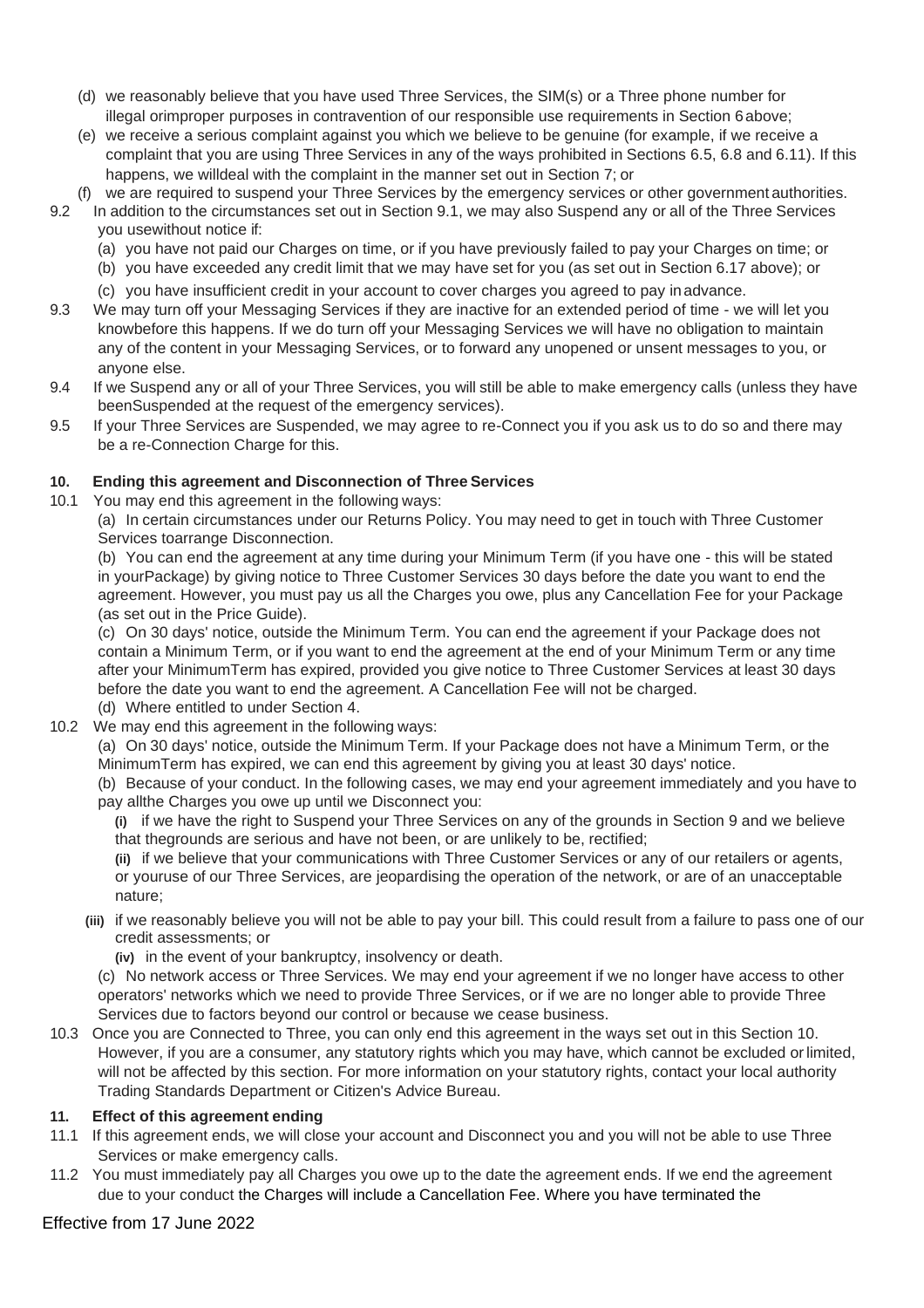- (d) we reasonably believe that you have used Three Services, the SIM(s) or a Three phone number for illegal orimproper purposes in contravention of our responsible use requirements in Section 6above;
- (e) we receive a serious complaint against you which we believe to be genuine (for example, if we receive a complaint that you are using Three Services in any of the ways prohibited in Sections 6.5, 6.8 and 6.11). If this happens, we willdeal with the complaint in the manner set out in Section 7; or
- (f) we are required to suspend your Three Services by the emergency services or other government authorities.
- 9.2 In addition to the circumstances set out in Section 9.1, we may also Suspend any or all of the Three Services you usewithout notice if:
	- (a) you have not paid our Charges on time, or if you have previously failed to pay your Charges on time; or
	- (b) you have exceeded any credit limit that we may have set for you (as set out in Section 6.17 above); or
	- (c) you have insufficient credit in your account to cover charges you agreed to pay inadvance.
- 9.3 We may turn off your Messaging Services if they are inactive for an extended period of time we will let you knowbefore this happens. If we do turn off your Messaging Services we will have no obligation to maintain any of the content in your Messaging Services, or to forward any unopened or unsent messages to you, or anyone else.
- 9.4 If we Suspend any or all of your Three Services, you will still be able to make emergency calls (unless they have beenSuspended at the request of the emergency services).
- 9.5 If your Three Services are Suspended, we may agree to re-Connect you if you ask us to do so and there may be a re-Connection Charge for this.

# **10. Ending this agreement and Disconnection of Three Services**

10.1 You may end this agreement in the following ways:

(a) In certain circumstances under our Returns Policy. You may need to get in touch with Three Customer Services toarrange Disconnection.

(b) You can end the agreement at any time during your Minimum Term (if you have one - this will be stated in yourPackage) by giving notice to Three Customer Services 30 days before the date you want to end the agreement. However, you must pay us all the Charges you owe, plus any Cancellation Fee for your Package (as set out in the Price Guide).

(c) On 30 days' notice, outside the Minimum Term. You can end the agreement if your Package does not contain a Minimum Term, or if you want to end the agreement at the end of your Minimum Term or any time after your MinimumTerm has expired, provided you give notice to Three Customer Services at least 30 days before the date you want to end the agreement. A Cancellation Fee will not be charged. (d) Where entitled to under Section 4.

- 10.2 We may end this agreement in the following ways:
	- (a) On 30 days' notice, outside the Minimum Term. If your Package does not have a Minimum Term, or the MinimumTerm has expired, we can end this agreement by giving you at least 30 days' notice.

(b) Because of your conduct. In the following cases, we may end your agreement immediately and you have to pay allthe Charges you owe up until we Disconnect you:

**(i)** if we have the right to Suspend your Three Services on any of the grounds in Section 9 and we believe that thegrounds are serious and have not been, or are unlikely to be, rectified;

**(ii)** if we believe that your communications with Three Customer Services or any of our retailers or agents, or youruse of our Three Services, are jeopardising the operation of the network, or are of an unacceptable nature;

**(iii)** if we reasonably believe you will not be able to pay your bill. This could result from a failure to pass one of our credit assessments; or

**(iv)** in the event of your bankruptcy, insolvency or death.

(c) No network access or Three Services. We may end your agreement if we no longer have access to other operators' networks which we need to provide Three Services, or if we are no longer able to provide Three Services due to factors beyond our control or because we cease business.

10.3 Once you are Connected to Three, you can only end this agreement in the ways set out in this Section 10. However, if you are a consumer, any statutory rights which you may have, which cannot be excluded orlimited, will not be affected by this section. For more information on your statutory rights, contact your local authority Trading Standards Department or Citizen's Advice Bureau.

# **11. Effect of this agreement ending**

- 11.1 If this agreement ends, we will close your account and Disconnect you and you will not be able to use Three Services or make emergency calls.
- 11.2 You must immediately pay all Charges you owe up to the date the agreement ends. If we end the agreement due to your conduct the Charges will include a Cancellation Fee. Where you have terminated the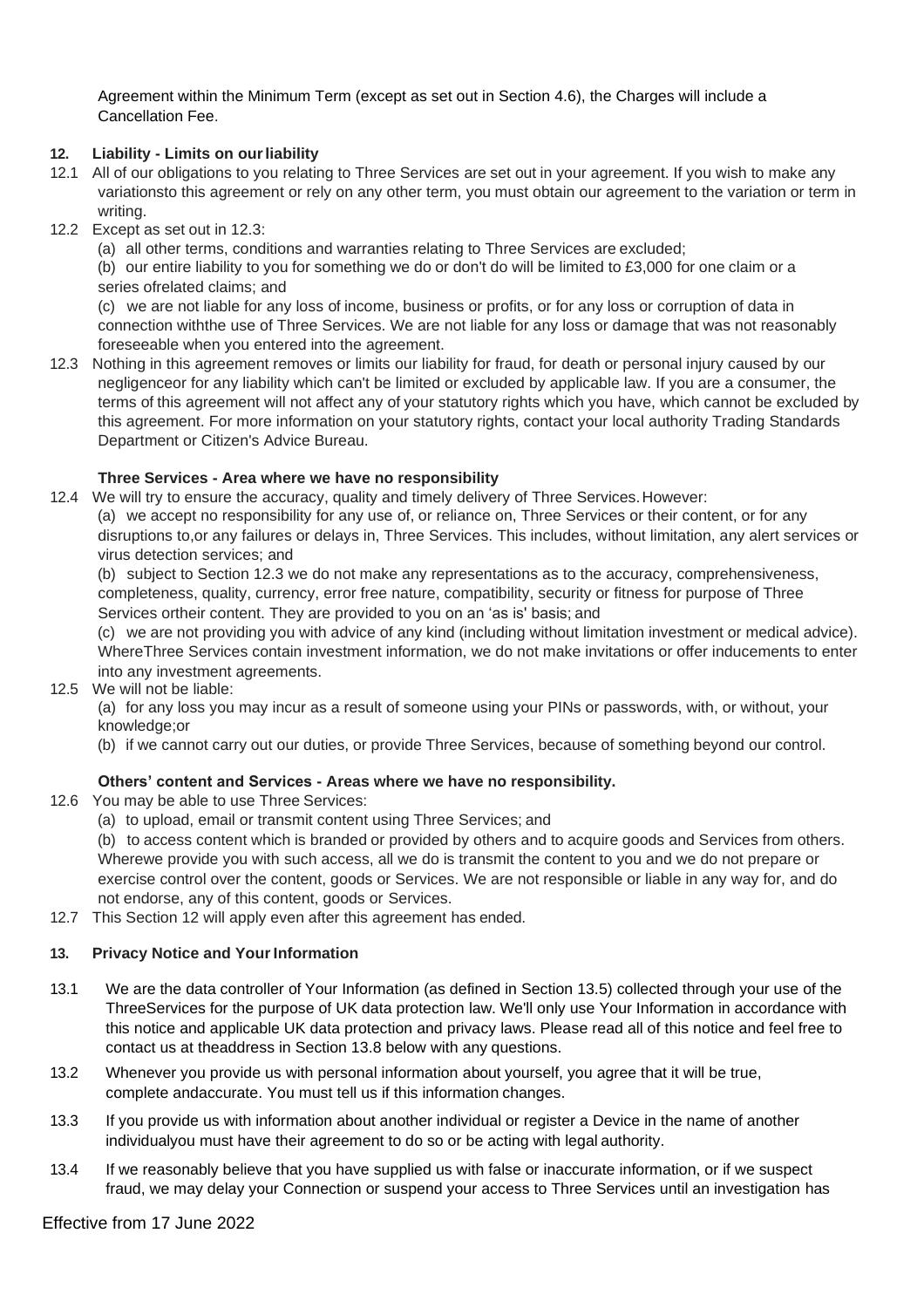Agreement within the Minimum Term (except as set out in Section 4.6), the Charges will include a Cancellation Fee.

# **12. Liability - Limits on ourliability**

- 12.1 All of our obligations to you relating to Three Services are set out in your agreement. If you wish to make any variationsto this agreement or rely on any other term, you must obtain our agreement to the variation or term in writing.
- 12.2 Except as set out in 12.3:
	- (a) all other terms, conditions and warranties relating to Three Services are excluded;

(b) our entire liability to you for something we do or don't do will be limited to £3,000 for one claim or a series ofrelated claims; and

(c) we are not liable for any loss of income, business or profits, or for any loss or corruption of data in connection withthe use of Three Services. We are not liable for any loss or damage that was not reasonably foreseeable when you entered into the agreement.

12.3 Nothing in this agreement removes or limits our liability for fraud, for death or personal injury caused by our negligenceor for any liability which can't be limited or excluded by applicable law. If you are a consumer, the terms of this agreement will not affect any of your statutory rights which you have, which cannot be excluded by this agreement. For more information on your statutory rights, contact your local authority Trading Standards Department or Citizen's Advice Bureau.

# **Three Services - Area where we have no responsibility**

12.4 We will try to ensure the accuracy, quality and timely delivery of Three Services.However:

(a) we accept no responsibility for any use of, or reliance on, Three Services or their content, or for any disruptions to,or any failures or delays in, Three Services. This includes, without limitation, any alert services or virus detection services; and

(b) subject to Section 12.3 we do not make any representations as to the accuracy, comprehensiveness, completeness, quality, currency, error free nature, compatibility, security or fitness for purpose of Three Services ortheir content. They are provided to you on an 'as is' basis; and

(c) we are not providing you with advice of any kind (including without limitation investment or medical advice). WhereThree Services contain investment information, we do not make invitations or offer inducements to enter into any investment agreements.

# 12.5 We will not be liable:

(a) for any loss you may incur as a result of someone using your PINs or passwords, with, or without, your knowledge;or

(b) if we cannot carry out our duties, or provide Three Services, because of something beyond our control.

# **Others' content and Services - Areas where we have no responsibility.**

- 12.6 You may be able to use Three Services:
	- (a) to upload, email or transmit content using Three Services; and

(b) to access content which is branded or provided by others and to acquire goods and Services from others. Wherewe provide you with such access, all we do is transmit the content to you and we do not prepare or exercise control over the content, goods or Services. We are not responsible or liable in any way for, and do not endorse, any of this content, goods or Services.

12.7 This Section 12 will apply even after this agreement has ended.

# 13. Privacy Notice and Your Information

- 13.1 We are the data controller of Your Information (as defined in Section 13.5) collected through your use of the ThreeServices for the purpose of UK data protection law. We'll only use Your Information in accordance with this notice and applicable UK data protection and privacy laws. Please read all of this notice and feel free to contact us at theaddress in Section 13.8 below with any questions.
- 13.2 Whenever you provide us with personal information about yourself, you agree that it will be true, complete andaccurate. You must tell us if this information changes.
- 13.3 If you provide us with information about another individual or register a Device in the name of another individualyou must have their agreement to do so or be acting with legal authority.
- 13.4 If we reasonably believe that you have supplied us with false or inaccurate information, or if we suspect fraud, we may delay your Connection or suspend your access to Three Services until an investigation has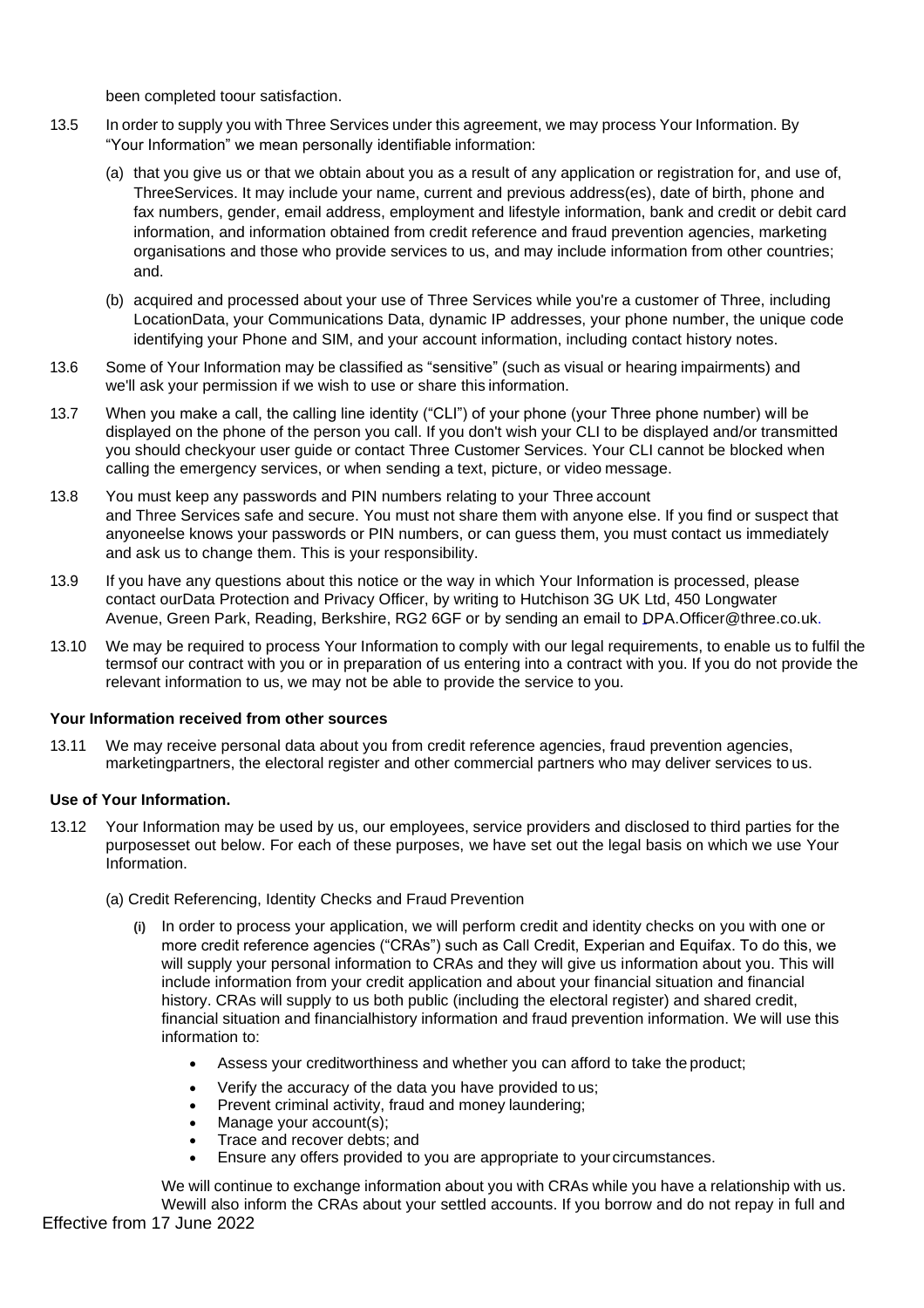been completed toour satisfaction.

- 13.5 In order to supply you with Three Services under this agreement, we may process Your Information. By "Your Information" we mean personally identifiable information:
	- (a) that you give us or that we obtain about you as a result of any application or registration for, and use of, ThreeServices. It may include your name, current and previous address(es), date of birth, phone and fax numbers, gender, email address, employment and lifestyle information, bank and credit or debit card information, and information obtained from credit reference and fraud prevention agencies, marketing organisations and those who provide services to us, and may include information from other countries; and.
	- (b) acquired and processed about your use of Three Services while you're a customer of Three, including LocationData, your Communications Data, dynamic IP addresses, your phone number, the unique code identifying your Phone and SIM, and your account information, including contact history notes.
- 13.6 Some of Your Information may be classified as "sensitive" (such as visual or hearing impairments) and we'll ask your permission if we wish to use or share this information.
- 13.7 When you make a call, the calling line identity ("CLI") of your phone (your Three phone number) will be displayed on the phone of the person you call. If you don't wish your CLI to be displayed and/or transmitted you should checkyour user guide or contact Three Customer Services. Your CLI cannot be blocked when calling the emergency services, or when sending a text, picture, or video message.
- 13.8 You must keep any passwords and PIN numbers relating to your Three account and Three Services safe and secure. You must not share them with anyone else. If you find or suspect that anyoneelse knows your passwords or PIN numbers, or can guess them, you must contact us immediately and ask us to change them. This is your responsibility.
- 13.9 If you have any questions about this notice or the way in which Your Information is processed, please contact ourData Protection and Privacy Officer, by writing to Hutchison 3G UK Ltd, 450 Longwater Avenue, Green Park, Reading, Berkshire, RG2 6GF or by sending an email to [DPA.Officer@three.co](mailto:DPA.Officer@three.co.uk).uk.
- 13.10 We may be required to process Your Information to comply with our legal requirements, to enable us to fulfil the termsof our contract with you or in preparation of us entering into a contract with you. If you do not provide the relevant information to us, we may not be able to provide the service to you.

#### **Your Information received from other sources**

13.11 We may receive personal data about you from credit reference agencies, fraud prevention agencies, marketingpartners, the electoral register and other commercial partners who may deliver services to us.

# **Use of Your Information.**

- 13.12 Your Information may be used by us, our employees, service providers and disclosed to third parties for the purposesset out below. For each of these purposes, we have set out the legal basis on which we use Your Information.
	- (a) Credit Referencing, Identity Checks and Fraud Prevention
		- **(i)** In order to process your application, we will perform credit and identity checks on you with one or more credit reference agencies ("CRAs") such as Call Credit, Experian and Equifax. To do this, we will supply your personal information to CRAs and they will give us information about you. This will include information from your credit application and about your financial situation and financial history. CRAs will supply to us both public (including the electoral register) and shared credit, financial situation and financialhistory information and fraud prevention information. We will use this information to:
			- Assess your creditworthiness and whether you can afford to take the product;
			- Verify the accuracy of the data you have provided to us;
			- Prevent criminal activity, fraud and money laundering;
			- Manage your account(s);
			- Trace and recover debts; and
			- Ensure any offers provided to you are appropriate to your circumstances.

Effective from 17 June 2022 We will continue to exchange information about you with CRAs while you have a relationship with us. Wewill also inform the CRAs about your settled accounts. If you borrow and do not repay in full and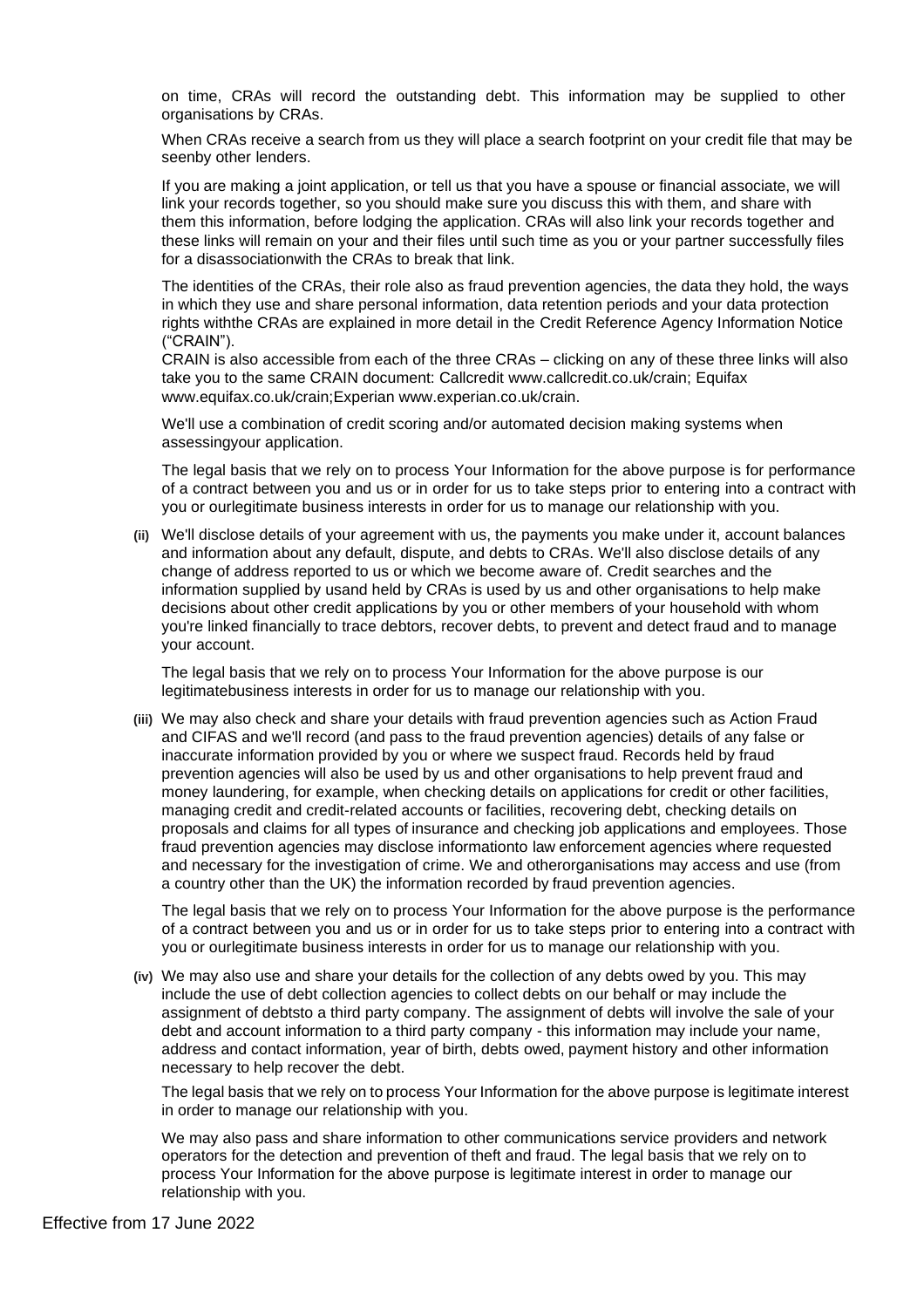on time, CRAs will record the outstanding debt. This information may be supplied to other organisations by CRAs.

When CRAs receive a search from us they will place a search footprint on your credit file that may be seenby other lenders.

If you are making a joint application, or tell us that you have a spouse or financial associate, we will link your records together, so you should make sure you discuss this with them, and share with them this information, before lodging the application. CRAs will also link your records together and these links will remain on your and their files until such time as you or your partner successfully files for a disassociationwith the CRAs to break that link.

The identities of the CRAs, their role also as fraud prevention agencies, the data they hold, the ways in which they use and share personal information, data retention periods and your data protection rights withthe CRAs are explained in more detail in the Credit Reference Agency Information Notice ("CRAIN").

CRAIN is also accessible from each of the three CRAs – clicking on any of these three links will also take you to the same CRAIN document: Callcredit [www.callcredit.co.uk/crain; E](http://www.callcredit.co.uk/crain%3B)quifax [www.equifax.co.uk/crain;E](http://www.equifax.co.uk/crain%3B)xperian [www.experian.co.uk/crain.](http://www.experian.co.uk/crain)

We'll use a combination of credit scoring and/or automated decision making systems when assessingyour application.

The legal basis that we rely on to process Your Information for the above purpose is for performance of a contract between you and us or in order for us to take steps prior to entering into a contract with you or ourlegitimate business interests in order for us to manage our relationship with you.

**(ii)** We'll disclose details of your agreement with us, the payments you make under it, account balances and information about any default, dispute, and debts to CRAs. We'll also disclose details of any change of address reported to us or which we become aware of. Credit searches and the information supplied by usand held by CRAs is used by us and other organisations to help make decisions about other credit applications by you or other members of your household with whom you're linked financially to trace debtors, recover debts, to prevent and detect fraud and to manage your account.

The legal basis that we rely on to process Your Information for the above purpose is our legitimatebusiness interests in order for us to manage our relationship with you.

**(iii)** We may also check and share your details with fraud prevention agencies such as Action Fraud and CIFAS and we'll record (and pass to the fraud prevention agencies) details of any false or inaccurate information provided by you or where we suspect fraud. Records held by fraud prevention agencies will also be used by us and other organisations to help prevent fraud and money laundering, for example, when checking details on applications for credit or other facilities, managing credit and credit-related accounts or facilities, recovering debt, checking details on proposals and claims for all types of insurance and checking job applications and employees. Those fraud prevention agencies may disclose informationto law enforcement agencies where requested and necessary for the investigation of crime. We and otherorganisations may access and use (from a country other than the UK) the information recorded by fraud prevention agencies.

The legal basis that we rely on to process Your Information for the above purpose is the performance of a contract between you and us or in order for us to take steps prior to entering into a contract with you or ourlegitimate business interests in order for us to manage our relationship with you.

**(iv)** We may also use and share your details for the collection of any debts owed by you. This may include the use of debt collection agencies to collect debts on our behalf or may include the assignment of debtsto a third party company. The assignment of debts will involve the sale of your debt and account information to a third party company - this information may include your name, address and contact information, year of birth, debts owed, payment history and other information necessary to help recover the debt.

The legal basis that we rely on to process Your Information for the above purpose is legitimate interest in order to manage our relationship with you.

We may also pass and share information to other communications service providers and network operators for the detection and prevention of theft and fraud. The legal basis that we rely on to process Your Information for the above purpose is legitimate interest in order to manage our relationship with you.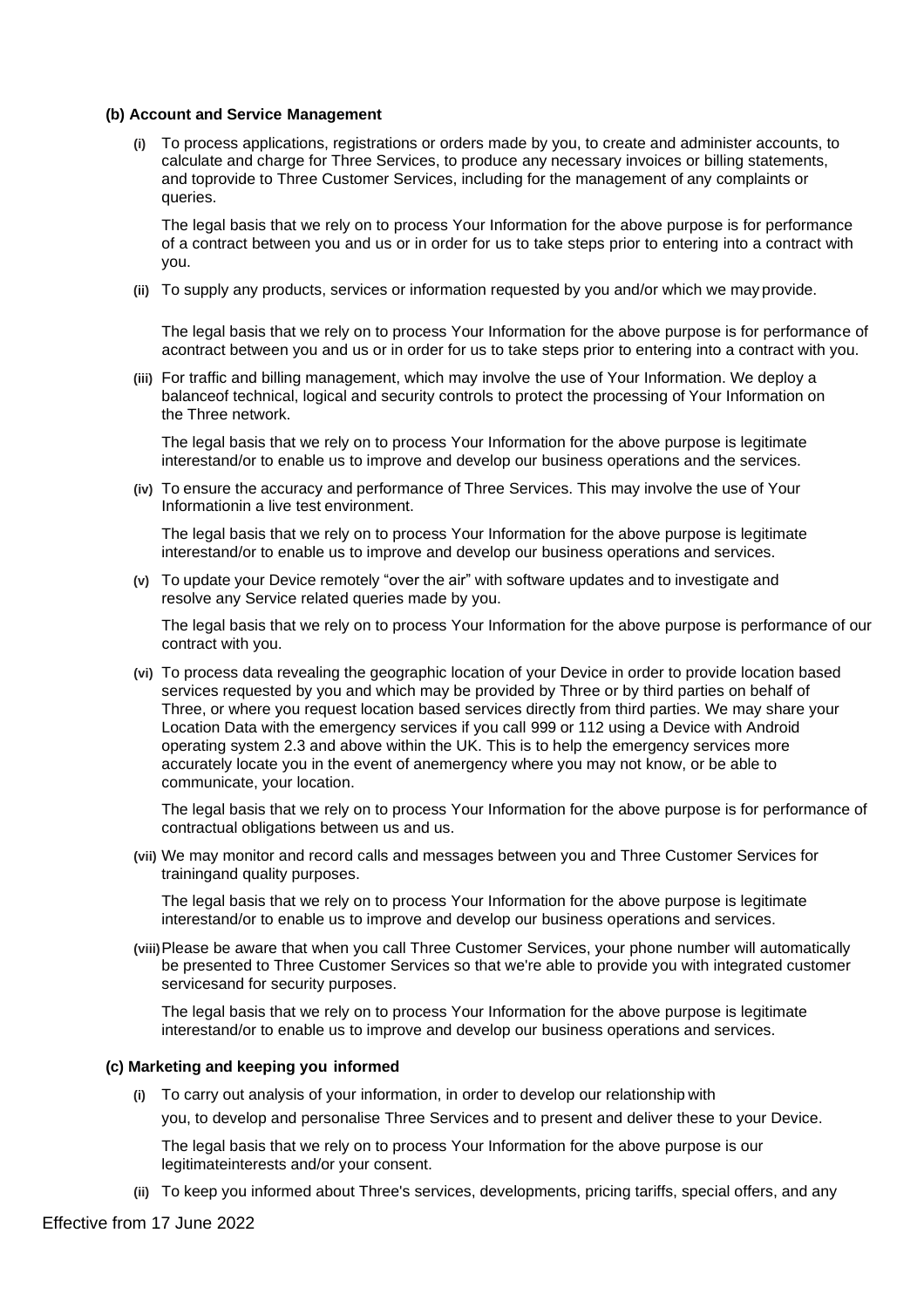#### **(b) Account and Service Management**

**(i)** To process applications, registrations or orders made by you, to create and administer accounts, to calculate and charge for Three Services, to produce any necessary invoices or billing statements, and toprovide to Three Customer Services, including for the management of any complaints or queries.

The legal basis that we rely on to process Your Information for the above purpose is for performance of a contract between you and us or in order for us to take steps prior to entering into a contract with you.

**(ii)** To supply any products, services or information requested by you and/or which we may provide.

The legal basis that we rely on to process Your Information for the above purpose is for performance of acontract between you and us or in order for us to take steps prior to entering into a contract with you.

**(iii)** For traffic and billing management, which may involve the use of Your Information. We deploy a balanceof technical, logical and security controls to protect the processing of Your Information on the Three network.

The legal basis that we rely on to process Your Information for the above purpose is legitimate interestand/or to enable us to improve and develop our business operations and the services.

**(iv)** To ensure the accuracy and performance of Three Services. This may involve the use of Your Informationin a live test environment.

The legal basis that we rely on to process Your Information for the above purpose is legitimate interestand/or to enable us to improve and develop our business operations and services.

**(v)** To update your Device remotely "over the air" with software updates and to investigate and resolve any Service related queries made by you.

The legal basis that we rely on to process Your Information for the above purpose is performance of our contract with you.

**(vi)** To process data revealing the geographic location of your Device in order to provide location based services requested by you and which may be provided by Three or by third parties on behalf of Three, or where you request location based services directly from third parties. We may share your Location Data with the emergency services if you call 999 or 112 using a Device with Android operating system 2.3 and above within the UK. This is to help the emergency services more accurately locate you in the event of anemergency where you may not know, or be able to communicate, your location.

The legal basis that we rely on to process Your Information for the above purpose is for performance of contractual obligations between us and us.

**(vii)** We may monitor and record calls and messages between you and Three Customer Services for trainingand quality purposes.

The legal basis that we rely on to process Your Information for the above purpose is legitimate interestand/or to enable us to improve and develop our business operations and services.

**(viii)**Please be aware that when you call Three Customer Services, your phone number will automatically be presented to Three Customer Services so that we're able to provide you with integrated customer servicesand for security purposes.

The legal basis that we rely on to process Your Information for the above purpose is legitimate interestand/or to enable us to improve and develop our business operations and services.

#### **(c) Marketing and keeping you informed**

**(i)** To carry out analysis of your information, in order to develop our relationship with you, to develop and personalise Three Services and to present and deliver these to your Device.

The legal basis that we rely on to process Your Information for the above purpose is our legitimateinterests and/or your consent.

**(ii)** To keep you informed about Three's services, developments, pricing tariffs, special offers, and any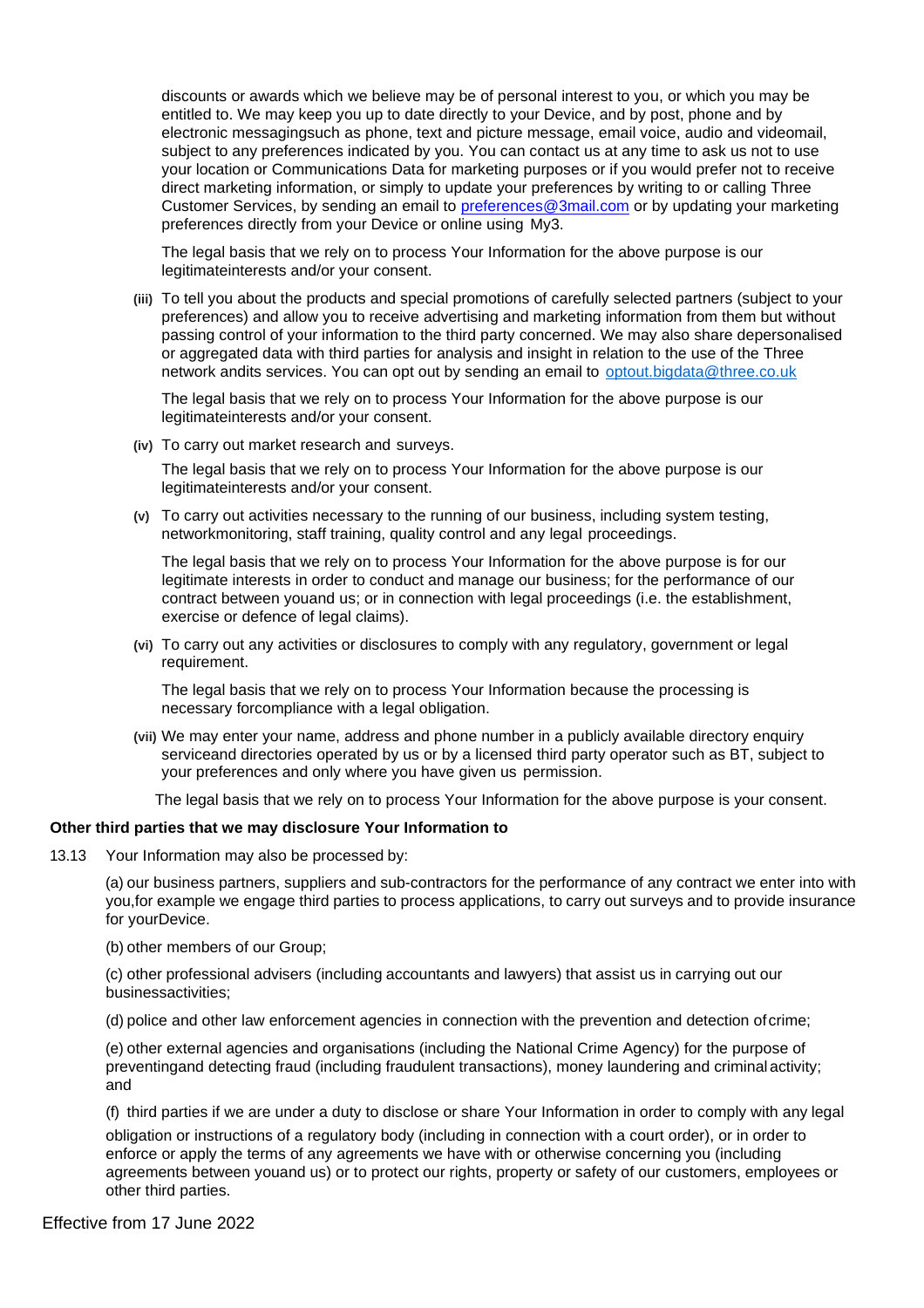discounts or awards which we believe may be of personal interest to you, or which you may be entitled to. We may keep you up to date directly to your Device, and by post, phone and by electronic messagingsuch as phone, text and picture message, email voice, audio and videomail, subject to any preferences indicated by you. You can contact us at any time to ask us not to use your location or Communications Data for marketing purposes or if you would prefer not to receive direct marketing information, or simply to update your preferences by writing to or calling Three Customer Services, by sending an email to [preferences@3mail.com](mailto:preferences@3mail.com) or by updating your marketing preferences directly from your Device or online using My3.

The legal basis that we rely on to process Your Information for the above purpose is our legitimateinterests and/or your consent.

**(iii)** To tell you about the products and special promotions of carefully selected partners (subject to your preferences) and allow you to receive advertising and marketing information from them but without passing control of your information to the third party concerned. We may also share depersonalised or aggregated data with third parties for analysis and insight in relation to the use of the Three network andits services. You can opt out by sending an email to [optout.bigdata@three.co.uk](mailto:optout.bigdata@three.co.uk)

The legal basis that we rely on to process Your Information for the above purpose is our legitimateinterests and/or your consent.

**(iv)** To carry out market research and surveys.

The legal basis that we rely on to process Your Information for the above purpose is our legitimateinterests and/or your consent.

**(v)** To carry out activities necessary to the running of our business, including system testing, networkmonitoring, staff training, quality control and any legal proceedings.

The legal basis that we rely on to process Your Information for the above purpose is for our legitimate interests in order to conduct and manage our business; for the performance of our contract between youand us; or in connection with legal proceedings (i.e. the establishment, exercise or defence of legal claims).

**(vi)** To carry out any activities or disclosures to comply with any regulatory, government or legal requirement.

The legal basis that we rely on to process Your Information because the processing is necessary forcompliance with a legal obligation.

**(vii)** We may enter your name, address and phone number in a publicly available directory enquiry serviceand directories operated by us or by a licensed third party operator such as BT, subject to your preferences and only where you have given us permission.

The legal basis that we rely on to process Your Information for the above purpose is your consent.

#### **Other third parties that we may disclosure Your Information to**

13.13 Your Information may also be processed by:

(a) our business partners, suppliers and sub-contractors for the performance of any contract we enter into with you,for example we engage third parties to process applications, to carry out surveys and to provide insurance for yourDevice.

(b) other members of our Group;

(c) other professional advisers (including accountants and lawyers) that assist us in carrying out our businessactivities;

(d) police and other law enforcement agencies in connection with the prevention and detection of crime;

(e) other external agencies and organisations (including the National Crime Agency) for the purpose of preventingand detecting fraud (including fraudulent transactions), money laundering and criminal activity; and

(f) third parties if we are under a duty to disclose or share Your Information in order to comply with any legal obligation or instructions of a regulatory body (including in connection with a court order), or in order to enforce or apply the terms of any agreements we have with or otherwise concerning you (including agreements between youand us) or to protect our rights, property or safety of our customers, employees or other third parties.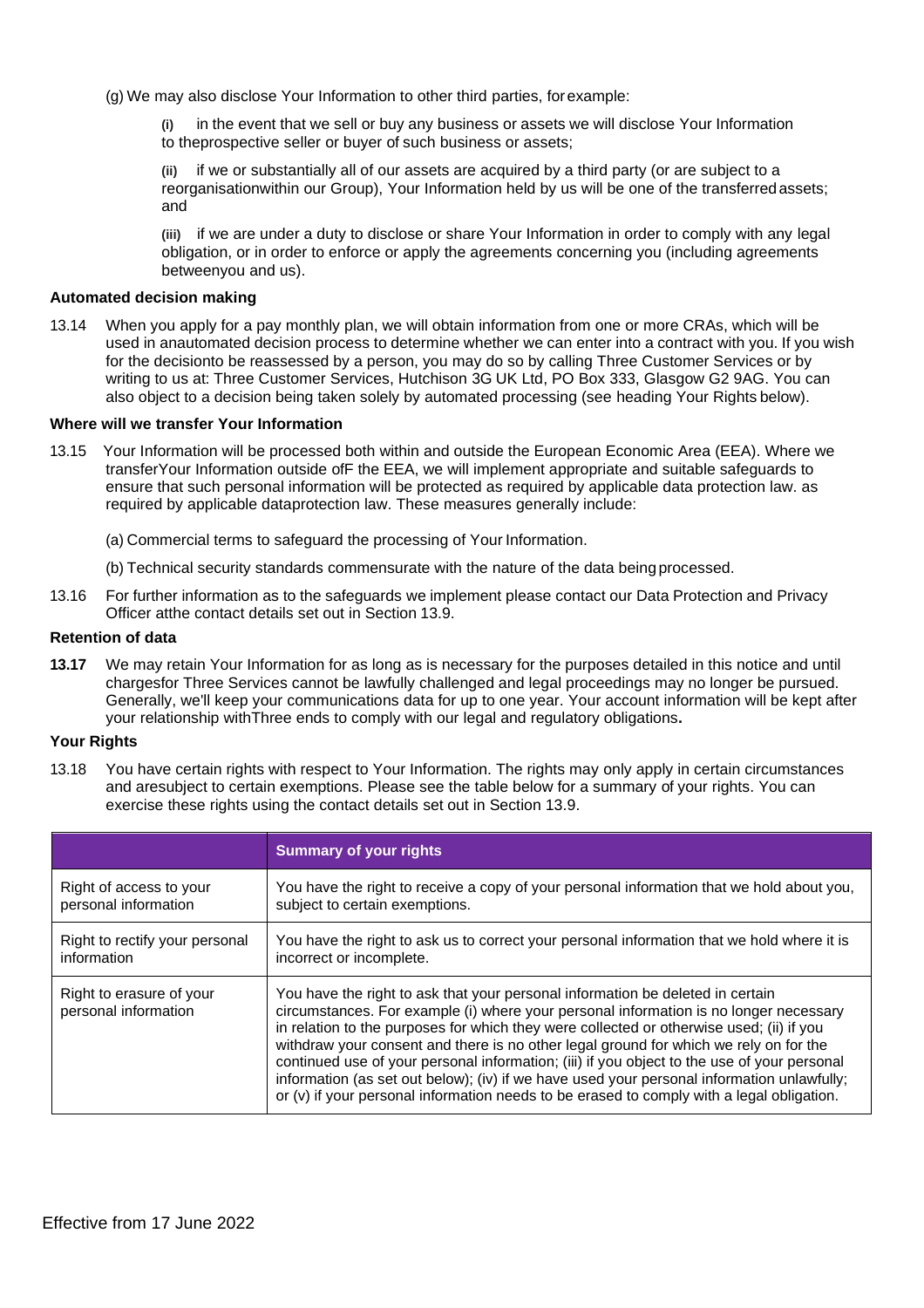(g) We may also disclose Your Information to other third parties, forexample:

**(i)** in the event that we sell or buy any business or assets we will disclose Your Information to theprospective seller or buyer of such business or assets;

**(ii)** if we or substantially all of our assets are acquired by a third party (or are subject to a reorganisationwithin our Group), Your Information held by us will be one of the transferredassets; and

**(iii)** if we are under a duty to disclose or share Your Information in order to comply with any legal obligation, or in order to enforce or apply the agreements concerning you (including agreements betweenyou and us).

#### **Automated decision making**

13.14 When you apply for a pay monthly plan, we will obtain information from one or more CRAs, which will be used in anautomated decision process to determine whether we can enter into a contract with you. If you wish for the decisionto be reassessed by a person, you may do so by calling Three Customer Services or by writing to us at: Three Customer Services, Hutchison 3G UK Ltd, PO Box 333, Glasgow G2 9AG. You can also object to a decision being taken solely by automated processing (see heading Your Rights below).

#### **Where will we transfer Your Information**

- 13.15 Your Information will be processed both within and outside the European Economic Area (EEA). Where we transferYour Information outside ofF the EEA, we will implement appropriate and suitable safeguards to ensure that such personal information will be protected as required by applicable data protection law. as required by applicable dataprotection law. These measures generally include:
	- (a) Commercial terms to safeguard the processing of Your Information.
	- (b) Technical security standards commensurate with the nature of the data beingprocessed.
- 13.16 For further information as to the safeguards we implement please contact our Data Protection and Privacy Officer atthe contact details set out in Section 13.9.

#### **Retention of data**

**13.17** We may retain Your Information for as long as is necessary for the purposes detailed in this notice and until chargesfor Three Services cannot be lawfully challenged and legal proceedings may no longer be pursued. Generally, we'll keep your communications data for up to one year. Your account information will be kept after your relationship withThree ends to comply with our legal and regulatory obligations**.**

#### **Your Rights**

13.18 You have certain rights with respect to Your Information. The rights may only apply in certain circumstances and aresubject to certain exemptions. Please see the table below for a summary of your rights. You can exercise these rights using the contact details set out in Section 13.9.

|                                                  | <b>Summary of your rights</b>                                                                                                                                                                                                                                                                                                                                                                                                                                                                                                                                                                                                                          |
|--------------------------------------------------|--------------------------------------------------------------------------------------------------------------------------------------------------------------------------------------------------------------------------------------------------------------------------------------------------------------------------------------------------------------------------------------------------------------------------------------------------------------------------------------------------------------------------------------------------------------------------------------------------------------------------------------------------------|
| Right of access to your                          | You have the right to receive a copy of your personal information that we hold about you,                                                                                                                                                                                                                                                                                                                                                                                                                                                                                                                                                              |
| personal information                             | subject to certain exemptions.                                                                                                                                                                                                                                                                                                                                                                                                                                                                                                                                                                                                                         |
| Right to rectify your personal                   | You have the right to ask us to correct your personal information that we hold where it is                                                                                                                                                                                                                                                                                                                                                                                                                                                                                                                                                             |
| information                                      | incorrect or incomplete.                                                                                                                                                                                                                                                                                                                                                                                                                                                                                                                                                                                                                               |
| Right to erasure of your<br>personal information | You have the right to ask that your personal information be deleted in certain<br>circumstances. For example (i) where your personal information is no longer necessary<br>in relation to the purposes for which they were collected or otherwise used; (ii) if you<br>withdraw your consent and there is no other legal ground for which we rely on for the<br>continued use of your personal information; (iii) if you object to the use of your personal<br>information (as set out below); (iv) if we have used your personal information unlawfully;<br>or (v) if your personal information needs to be erased to comply with a legal obligation. |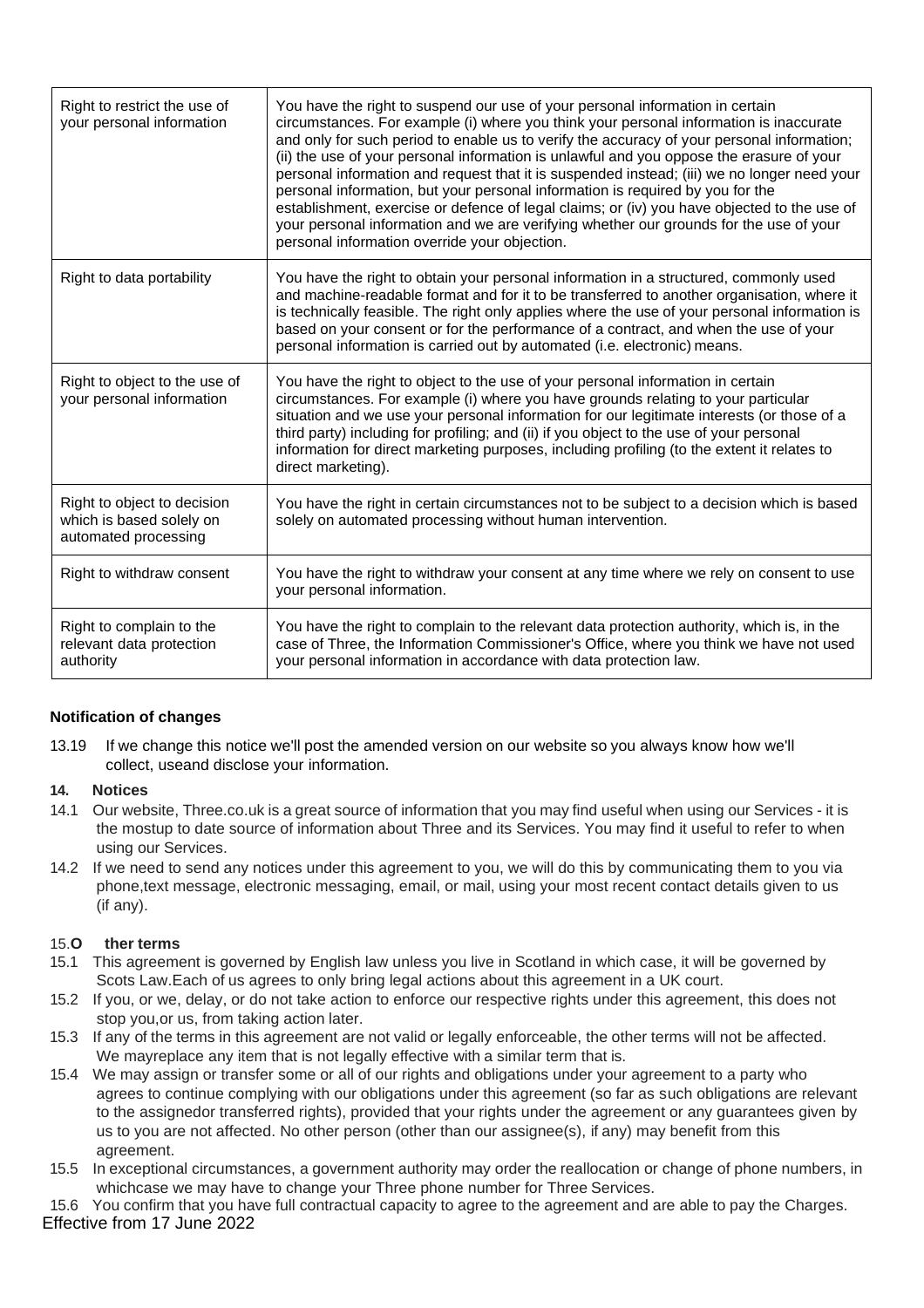| Right to restrict the use of<br>your personal information                       | You have the right to suspend our use of your personal information in certain<br>circumstances. For example (i) where you think your personal information is inaccurate<br>and only for such period to enable us to verify the accuracy of your personal information;<br>(ii) the use of your personal information is unlawful and you oppose the erasure of your<br>personal information and request that it is suspended instead; (iii) we no longer need your<br>personal information, but your personal information is required by you for the<br>establishment, exercise or defence of legal claims; or (iv) you have objected to the use of<br>your personal information and we are verifying whether our grounds for the use of your<br>personal information override your objection. |
|---------------------------------------------------------------------------------|----------------------------------------------------------------------------------------------------------------------------------------------------------------------------------------------------------------------------------------------------------------------------------------------------------------------------------------------------------------------------------------------------------------------------------------------------------------------------------------------------------------------------------------------------------------------------------------------------------------------------------------------------------------------------------------------------------------------------------------------------------------------------------------------|
| Right to data portability                                                       | You have the right to obtain your personal information in a structured, commonly used<br>and machine-readable format and for it to be transferred to another organisation, where it<br>is technically feasible. The right only applies where the use of your personal information is<br>based on your consent or for the performance of a contract, and when the use of your<br>personal information is carried out by automated (i.e. electronic) means.                                                                                                                                                                                                                                                                                                                                    |
| Right to object to the use of<br>your personal information                      | You have the right to object to the use of your personal information in certain<br>circumstances. For example (i) where you have grounds relating to your particular<br>situation and we use your personal information for our legitimate interests (or those of a<br>third party) including for profiling; and (ii) if you object to the use of your personal<br>information for direct marketing purposes, including profiling (to the extent it relates to<br>direct marketing).                                                                                                                                                                                                                                                                                                          |
| Right to object to decision<br>which is based solely on<br>automated processing | You have the right in certain circumstances not to be subject to a decision which is based<br>solely on automated processing without human intervention.                                                                                                                                                                                                                                                                                                                                                                                                                                                                                                                                                                                                                                     |
| Right to withdraw consent                                                       | You have the right to withdraw your consent at any time where we rely on consent to use<br>your personal information.                                                                                                                                                                                                                                                                                                                                                                                                                                                                                                                                                                                                                                                                        |
| Right to complain to the<br>relevant data protection<br>authority               | You have the right to complain to the relevant data protection authority, which is, in the<br>case of Three, the Information Commissioner's Office, where you think we have not used<br>your personal information in accordance with data protection law.                                                                                                                                                                                                                                                                                                                                                                                                                                                                                                                                    |

# **Notification of changes**

13.19 If we change this notice we'll post the amended version on our website so you always know how we'll collect, useand disclose your information.

# **14. Notices**

- 14.1 Our website, Three.co.uk is a great source of information that you may find useful when using our Services it is the mostup to date source of information about Three and its Services. You may find it useful to refer to when using our Services.
- 14.2 If we need to send any notices under this agreement to you, we will do this by communicating them to you via phone,text message, electronic messaging, email, or mail, using your most recent contact details given to us (if any).

# 15.**O ther terms**

- 15.1 This agreement is governed by English law unless you live in Scotland in which case, it will be governed by Scots Law.Each of us agrees to only bring legal actions about this agreement in a UK court.
- 15.2 If you, or we, delay, or do not take action to enforce our respective rights under this agreement, this does not stop you,or us, from taking action later.
- 15.3 If any of the terms in this agreement are not valid or legally enforceable, the other terms will not be affected. We mayreplace any item that is not legally effective with a similar term that is.
- 15.4 We may assign or transfer some or all of our rights and obligations under your agreement to a party who agrees to continue complying with our obligations under this agreement (so far as such obligations are relevant to the assignedor transferred rights), provided that your rights under the agreement or any guarantees given by us to you are not affected. No other person (other than our assignee(s), if any) may benefit from this agreement.
- 15.5 In exceptional circumstances, a government authority may order the reallocation or change of phone numbers, in whichcase we may have to change your Three phone number for Three Services.
- Effective from 17 June 2022 15.6 You confirm that you have full contractual capacity to agree to the agreement and are able to pay the Charges.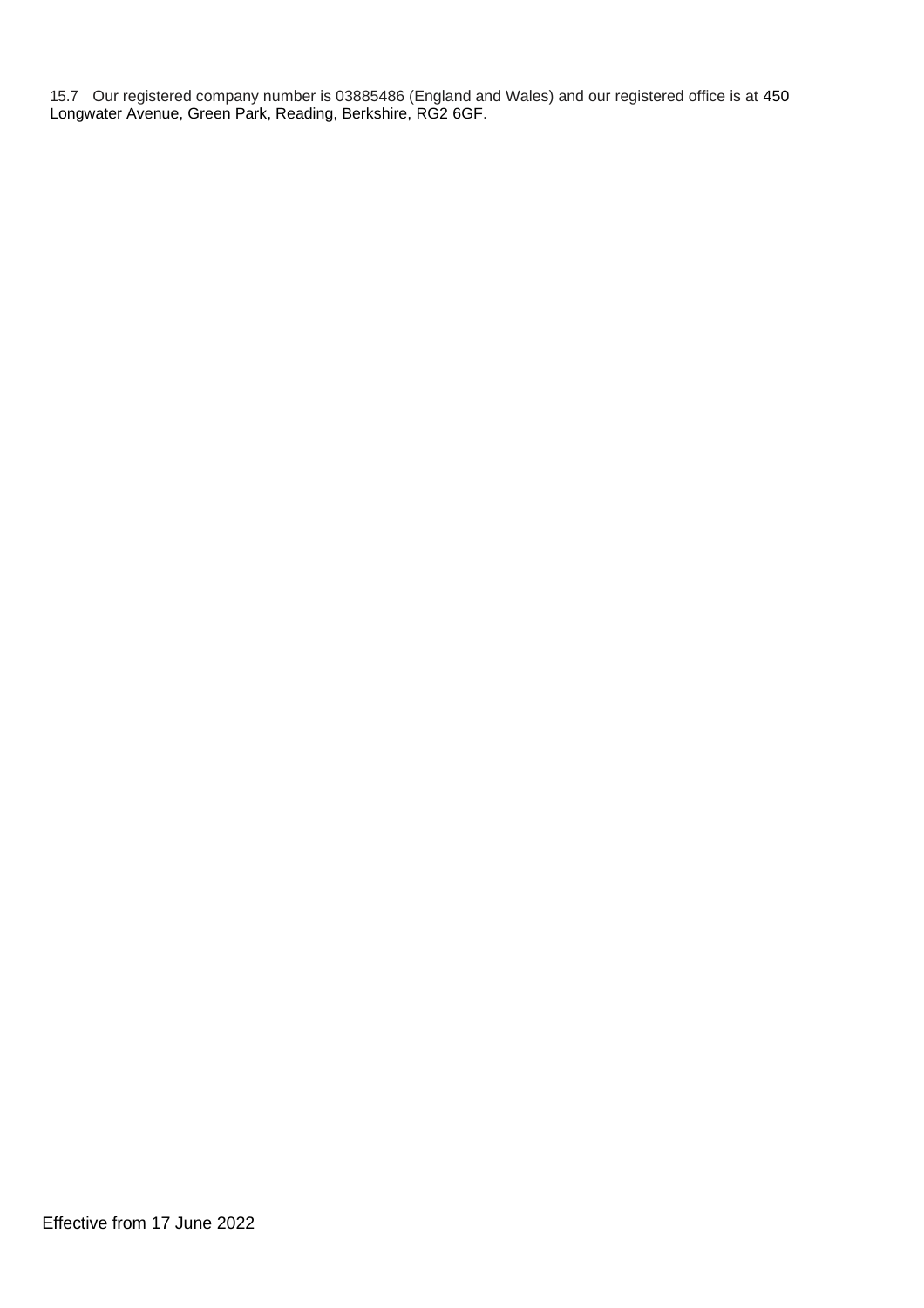15.7 Our registered company number is 03885486 (England and Wales) and our registered office is at 450 Longwater Avenue, Green Park, Reading, Berkshire, RG2 6GF.